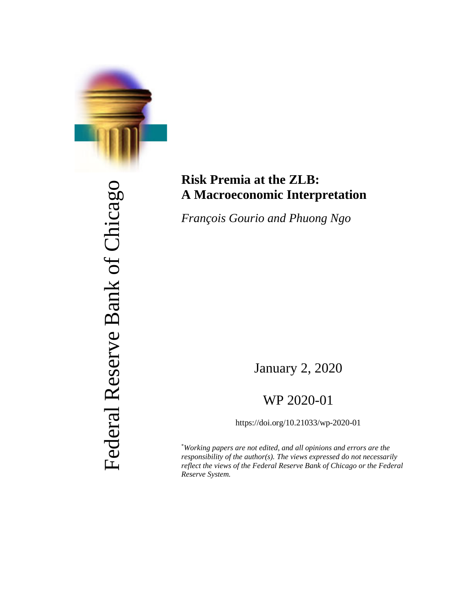

# Federal Reserve Bank of Chicago Federal Reserve Bank of Chicago

# **Risk Premia at the ZLB: A Macroeconomic Interpretation**

*François Gourio and Phuong Ngo*

January 2, 2020

# WP 2020-01

https://doi.org/10.21033/wp-2020-01

\* *Working papers are not edited, and all opinions and errors are the responsibility of the author(s). The views expressed do not necessarily reflect the views of the Federal Reserve Bank of Chicago or the Federal Reserve System.*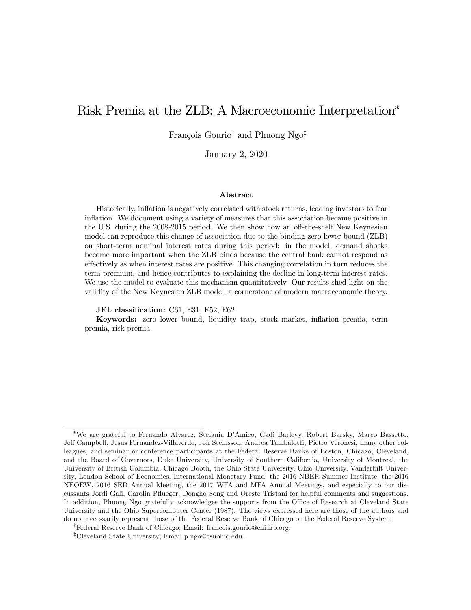# Risk Premia at the ZLB: A Macroeconomic Interpretation<sup>∗</sup>

François Gourio† and Phuong Ngo‡

January 2, 2020

#### Abstract

Historically, inflation is negatively correlated with stock returns, leading investors to fear inflation. We document using a variety of measures that this association became positive in the U.S. during the 2008-2015 period. We then show how an off-the-shelf New Keynesian model can reproduce this change of association due to the binding zero lower bound (ZLB) on short-term nominal interest rates during this period: in the model, demand shocks become more important when the ZLB binds because the central bank cannot respond as effectively as when interest rates are positive. This changing correlation in turn reduces the term premium, and hence contributes to explaining the decline in long-term interest rates. We use the model to evaluate this mechanism quantitatively. Our results shed light on the validity of the New Keynesian ZLB model, a cornerstone of modern macroeconomic theory.

JEL classification: C61, E31, E52, E62.

Keywords: zero lower bound, liquidity trap, stock market, inflation premia, term premia, risk premia.

<sup>∗</sup>We are grateful to Fernando Alvarez, Stefania D'Amico, Gadi Barlevy, Robert Barsky, Marco Bassetto, Jeff Campbell, Jesus Fernandez-Villaverde, Jon Steinsson, Andrea Tambalotti, Pietro Veronesi, many other colleagues, and seminar or conference participants at the Federal Reserve Banks of Boston, Chicago, Cleveland, and the Board of Governors, Duke University, University of Southern California, University of Montreal, the University of British Columbia, Chicago Booth, the Ohio State University, Ohio University, Vanderbilt University, London School of Economics, International Monetary Fund, the 2016 NBER Summer Institute, the 2016 NEOEW, 2016 SED Annual Meeting, the 2017 WFA and MFA Annual Meetings, and especially to our discussants Jordi Gali, Carolin Pflueger, Dongho Song and Oreste Tristani for helpful comments and suggestions. In addition, Phuong Ngo gratefully acknowledges the supports from the Office of Research at Cleveland State University and the Ohio Supercomputer Center (1987). The views expressed here are those of the authors and do not necessarily represent those of the Federal Reserve Bank of Chicago or the Federal Reserve System.

<sup>†</sup>Federal Reserve Bank of Chicago; Email: francois.gourio@chi.frb.org.

<sup>‡</sup>Cleveland State University; Email p.ngo@csuohio.edu.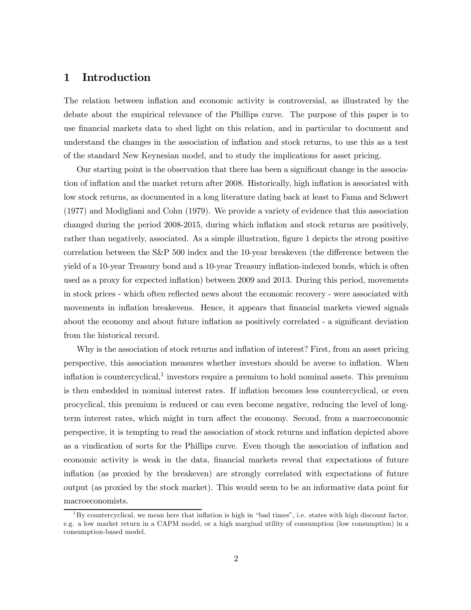## 1 Introduction

The relation between inflation and economic activity is controversial, as illustrated by the debate about the empirical relevance of the Phillips curve. The purpose of this paper is to use financial markets data to shed light on this relation, and in particular to document and understand the changes in the association of inflation and stock returns, to use this as a test of the standard New Keynesian model, and to study the implications for asset pricing.

Our starting point is the observation that there has been a significant change in the association of inflation and the market return after 2008. Historically, high inflation is associated with low stock returns, as documented in a long literature dating back at least to Fama and Schwert (1977) and Modigliani and Cohn (1979). We provide a variety of evidence that this association changed during the period 2008-2015, during which inflation and stock returns are positively, rather than negatively, associated. As a simple illustration, figure 1 depicts the strong positive correlation between the S&P 500 index and the 10-year breakeven (the difference between the yield of a 10-year Treasury bond and a 10-year Treasury inflation-indexed bonds, which is often used as a proxy for expected inflation) between 2009 and 2013. During this period, movements in stock prices - which often reflected news about the economic recovery - were associated with movements in inflation breakevens. Hence, it appears that financial markets viewed signals about the economy and about future inflation as positively correlated - a significant deviation from the historical record.

Why is the association of stock returns and inflation of interest? First, from an asset pricing perspective, this association measures whether investors should be averse to inflation. When inflation is countercyclical, $1$  investors require a premium to hold nominal assets. This premium is then embedded in nominal interest rates. If inflation becomes less countercyclical, or even procyclical, this premium is reduced or can even become negative, reducing the level of longterm interest rates, which might in turn affect the economy. Second, from a macroeconomic perspective, it is tempting to read the association of stock returns and inflation depicted above as a vindication of sorts for the Phillips curve. Even though the association of inflation and economic activity is weak in the data, financial markets reveal that expectations of future inflation (as proxied by the breakeven) are strongly correlated with expectations of future output (as proxied by the stock market). This would seem to be an informative data point for macroeconomists.

 ${}^{1}$ By countercyclical, we mean here that inflation is high in "bad times", i.e. states with high discount factor, e.g. a low market return in a CAPM model, or a high marginal utility of consumption (low consumption) in a consumption-based model.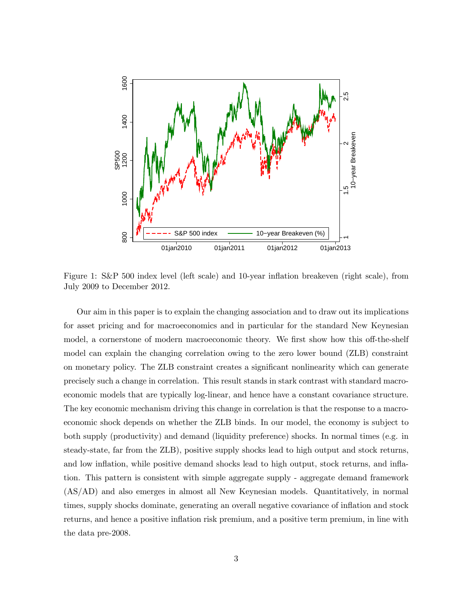

Figure 1: S&P 500 index level (left scale) and 10-year inflation breakeven (right scale), from July 2009 to December 2012.

Our aim in this paper is to explain the changing association and to draw out its implications for asset pricing and for macroeconomics and in particular for the standard New Keynesian model, a cornerstone of modern macroeconomic theory. We first show how this off-the-shelf model can explain the changing correlation owing to the zero lower bound (ZLB) constraint on monetary policy. The ZLB constraint creates a significant nonlinearity which can generate precisely such a change in correlation. This result stands in stark contrast with standard macroeconomic models that are typically log-linear, and hence have a constant covariance structure. The key economic mechanism driving this change in correlation is that the response to a macroeconomic shock depends on whether the ZLB binds. In our model, the economy is subject to both supply (productivity) and demand (liquidity preference) shocks. In normal times (e.g. in steady-state, far from the ZLB), positive supply shocks lead to high output and stock returns, and low inflation, while positive demand shocks lead to high output, stock returns, and inflation. This pattern is consistent with simple aggregate supply - aggregate demand framework (AS/AD) and also emerges in almost all New Keynesian models. Quantitatively, in normal times, supply shocks dominate, generating an overall negative covariance of inflation and stock returns, and hence a positive inflation risk premium, and a positive term premium, in line with the data pre-2008.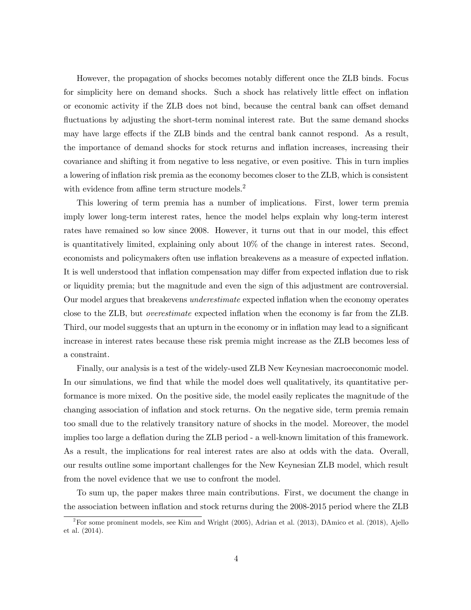However, the propagation of shocks becomes notably different once the ZLB binds. Focus for simplicity here on demand shocks. Such a shock has relatively little effect on inflation or economic activity if the ZLB does not bind, because the central bank can offset demand fluctuations by adjusting the short-term nominal interest rate. But the same demand shocks may have large effects if the ZLB binds and the central bank cannot respond. As a result, the importance of demand shocks for stock returns and inflation increases, increasing their covariance and shifting it from negative to less negative, or even positive. This in turn implies a lowering of inflation risk premia as the economy becomes closer to the ZLB, which is consistent with evidence from affine term structure models.<sup>2</sup>

This lowering of term premia has a number of implications. First, lower term premia imply lower long-term interest rates, hence the model helps explain why long-term interest rates have remained so low since 2008. However, it turns out that in our model, this effect is quantitatively limited, explaining only about 10% of the change in interest rates. Second, economists and policymakers often use inflation breakevens as a measure of expected inflation. It is well understood that inflation compensation may differ from expected inflation due to risk or liquidity premia; but the magnitude and even the sign of this adjustment are controversial. Our model argues that breakevens *underestimate* expected inflation when the economy operates close to the ZLB, but overestimate expected inflation when the economy is far from the ZLB. Third, our model suggests that an upturn in the economy or in inflation may lead to a significant increase in interest rates because these risk premia might increase as the ZLB becomes less of a constraint.

Finally, our analysis is a test of the widely-used ZLB New Keynesian macroeconomic model. In our simulations, we find that while the model does well qualitatively, its quantitative performance is more mixed. On the positive side, the model easily replicates the magnitude of the changing association of inflation and stock returns. On the negative side, term premia remain too small due to the relatively transitory nature of shocks in the model. Moreover, the model implies too large a deflation during the ZLB period - a well-known limitation of this framework. As a result, the implications for real interest rates are also at odds with the data. Overall, our results outline some important challenges for the New Keynesian ZLB model, which result from the novel evidence that we use to confront the model.

To sum up, the paper makes three main contributions. First, we document the change in the association between inflation and stock returns during the 2008-2015 period where the ZLB

<sup>&</sup>lt;sup>2</sup>For some prominent models, see Kim and Wright (2005), Adrian et al. (2013), DAmico et al. (2018), Ajello et al. (2014).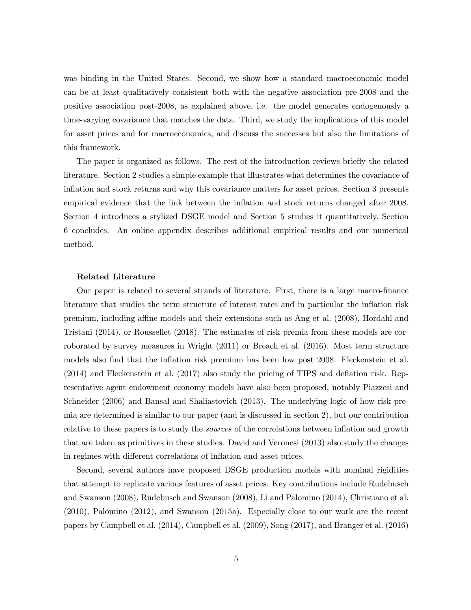was binding in the United States. Second, we show how a standard macroeconomic model can be at least qualitatively consistent both with the negative association pre-2008 and the positive association post-2008, as explained above, i.e. the model generates endogenously a time-varying covariance that matches the data. Third, we study the implications of this model for asset prices and for macroeconomics, and discuss the successes but also the limitations of this framework.

The paper is organized as follows. The rest of the introduction reviews briefly the related literature. Section 2 studies a simple example that illustrates what determines the covariance of inflation and stock returns and why this covariance matters for asset prices. Section 3 presents empirical evidence that the link between the inflation and stock returns changed after 2008. Section 4 introduces a stylized DSGE model and Section 5 studies it quantitatively. Section 6 concludes. An online appendix describes additional empirical results and our numerical method.

#### Related Literature

Our paper is related to several strands of literature. First, there is a large macro-finance literature that studies the term structure of interest rates and in particular the inflation risk premium, including affine models and their extensions such as Ang et al. (2008), Hordahl and Tristani (2014), or Roussellet (2018). The estimates of risk premia from these models are corroborated by survey measures in Wright (2011) or Breach et al. (2016). Most term structure models also find that the inflation risk premium has been low post 2008. Fleckenstein et al. (2014) and Fleckenstein et al. (2017) also study the pricing of TIPS and deflation risk. Representative agent endowment economy models have also been proposed, notably Piazzesi and Schneider (2006) and Bansal and Shaliastovich (2013). The underlying logic of how risk premia are determined is similar to our paper (and is discussed in section 2), but our contribution relative to these papers is to study the sources of the correlations between inflation and growth that are taken as primitives in these studies. David and Veronesi (2013) also study the changes in regimes with different correlations of inflation and asset prices.

Second, several authors have proposed DSGE production models with nominal rigidities that attempt to replicate various features of asset prices. Key contributions include Rudebusch and Swanson (2008), Rudebusch and Swanson (2008), Li and Palomino (2014), Christiano et al. (2010), Palomino (2012), and Swanson (2015a). Especially close to our work are the recent papers by Campbell et al. (2014), Campbell et al. (2009), Song (2017), and Branger et al. (2016)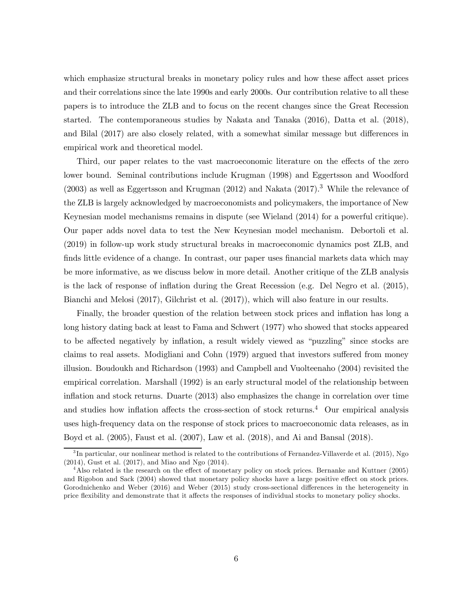which emphasize structural breaks in monetary policy rules and how these affect asset prices and their correlations since the late 1990s and early 2000s. Our contribution relative to all these papers is to introduce the ZLB and to focus on the recent changes since the Great Recession started. The contemporaneous studies by Nakata and Tanaka (2016), Datta et al. (2018), and Bilal (2017) are also closely related, with a somewhat similar message but differences in empirical work and theoretical model.

Third, our paper relates to the vast macroeconomic literature on the effects of the zero lower bound. Seminal contributions include Krugman (1998) and Eggertsson and Woodford  $(2003)$  as well as Eggertsson and Krugman  $(2012)$  and Nakata  $(2017).<sup>3</sup>$  While the relevance of the ZLB is largely acknowledged by macroeconomists and policymakers, the importance of New Keynesian model mechanisms remains in dispute (see Wieland (2014) for a powerful critique). Our paper adds novel data to test the New Keynesian model mechanism. Debortoli et al. (2019) in follow-up work study structural breaks in macroeconomic dynamics post ZLB, and finds little evidence of a change. In contrast, our paper uses financial markets data which may be more informative, as we discuss below in more detail. Another critique of the ZLB analysis is the lack of response of inflation during the Great Recession (e.g. Del Negro et al. (2015), Bianchi and Melosi (2017), Gilchrist et al. (2017)), which will also feature in our results.

Finally, the broader question of the relation between stock prices and inflation has long a long history dating back at least to Fama and Schwert (1977) who showed that stocks appeared to be affected negatively by inflation, a result widely viewed as "puzzling" since stocks are claims to real assets. Modigliani and Cohn (1979) argued that investors suffered from money illusion. Boudoukh and Richardson (1993) and Campbell and Vuolteenaho (2004) revisited the empirical correlation. Marshall (1992) is an early structural model of the relationship between inflation and stock returns. Duarte (2013) also emphasizes the change in correlation over time and studies how inflation affects the cross-section of stock returns.<sup>4</sup> Our empirical analysis uses high-frequency data on the response of stock prices to macroeconomic data releases, as in Boyd et al. (2005), Faust et al. (2007), Law et al. (2018), and Ai and Bansal (2018).

 ${}^{3}$ In particular, our nonlinear method is related to the contributions of Fernandez-Villaverde et al. (2015), Ngo (2014), Gust et al. (2017), and Miao and Ngo (2014).

<sup>&</sup>lt;sup>4</sup>Also related is the research on the effect of monetary policy on stock prices. Bernanke and Kuttner (2005) and Rigobon and Sack (2004) showed that monetary policy shocks have a large positive effect on stock prices. Gorodnichenko and Weber (2016) and Weber (2015) study cross-sectional differences in the heterogeneity in price flexibility and demonstrate that it affects the responses of individual stocks to monetary policy shocks.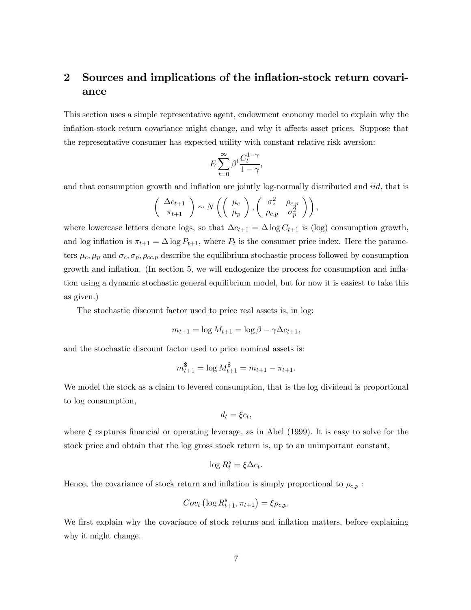# 2 Sources and implications of the inflation-stock return covariance

This section uses a simple representative agent, endowment economy model to explain why the inflation-stock return covariance might change, and why it affects asset prices. Suppose that the representative consumer has expected utility with constant relative risk aversion:

$$
E\sum_{t=0}^{\infty}\beta^t\frac{C_t^{1-\gamma}}{1-\gamma},
$$

and that consumption growth and inflation are jointly log-normally distributed and *iid*, that is

$$
\left(\begin{array}{c}\Delta c_{t+1}\\ \pi_{t+1}\end{array}\right)\sim N\left(\left(\begin{array}{c}\mu_c\\ \mu_p\end{array}\right),\left(\begin{array}{cc}\sigma_c^2 & \rho_{c,p} \\ \rho_{c,p} & \sigma_p^2\end{array}\right)\right),\,
$$

where lowercase letters denote logs, so that  $\Delta c_{t+1} = \Delta \log C_{t+1}$  is (log) consumption growth, and log inflation is  $\pi_{t+1} = \Delta \log P_{t+1}$ , where  $P_t$  is the consumer price index. Here the parameters  $\mu_c, \mu_p$  and  $\sigma_c, \sigma_p, \rho_{cc,p}$  describe the equilibrium stochastic process followed by consumption growth and inflation. (In section 5, we will endogenize the process for consumption and inflation using a dynamic stochastic general equilibrium model, but for now it is easiest to take this as given.)

The stochastic discount factor used to price real assets is, in log:

$$
m_{t+1} = \log M_{t+1} = \log \beta - \gamma \Delta c_{t+1},
$$

and the stochastic discount factor used to price nominal assets is:

$$
m_{t+1}^{\$} = \log M_{t+1}^{\$} = m_{t+1} - \pi_{t+1}.
$$

We model the stock as a claim to levered consumption, that is the log dividend is proportional to log consumption,

$$
d_t = \xi c_t,
$$

where  $\xi$  captures financial or operating leverage, as in Abel (1999). It is easy to solve for the stock price and obtain that the log gross stock return is, up to an unimportant constant,

$$
\log R_t^s = \xi \Delta c_t.
$$

Hence, the covariance of stock return and inflation is simply proportional to  $\rho_{c,p}$ :

$$
Cov_t \left( \log R_{t+1}^s, \pi_{t+1} \right) = \xi \rho_{c,p}.
$$

We first explain why the covariance of stock returns and inflation matters, before explaining why it might change.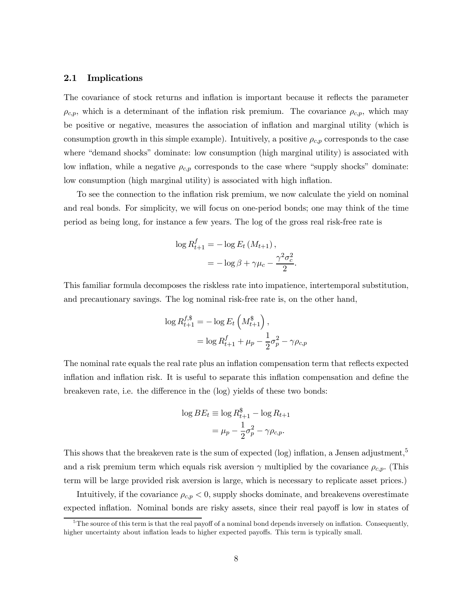#### 2.1 Implications

The covariance of stock returns and inflation is important because it reflects the parameter  $\rho_{c,p}$ , which is a determinant of the inflation risk premium. The covariance  $\rho_{c,p}$ , which may be positive or negative, measures the association of inflation and marginal utility (which is consumption growth in this simple example). Intuitively, a positive  $\rho_{c,p}$  corresponds to the case where "demand shocks" dominate: low consumption (high marginal utility) is associated with low inflation, while a negative  $\rho_{c,p}$  corresponds to the case where "supply shocks" dominate: low consumption (high marginal utility) is associated with high inflation.

To see the connection to the inflation risk premium, we now calculate the yield on nominal and real bonds. For simplicity, we will focus on one-period bonds; one may think of the time period as being long, for instance a few years. The log of the gross real risk-free rate is

$$
\log R_{t+1}^f = -\log E_t \left( M_{t+1} \right),
$$
  
= 
$$
-\log \beta + \gamma \mu_c - \frac{\gamma^2 \sigma_c^2}{2}.
$$

This familiar formula decomposes the riskless rate into impatience, intertemporal substitution, and precautionary savings. The log nominal risk-free rate is, on the other hand,

$$
\log R_{t+1}^{f,\$} = -\log E_t \left( M_{t+1}^{\$} \right),
$$
  
=  $\log R_{t+1}^f + \mu_p - \frac{1}{2} \sigma_p^2 - \gamma \rho_{c,p}$ 

The nominal rate equals the real rate plus an inflation compensation term that reflects expected inflation and inflation risk. It is useful to separate this inflation compensation and define the breakeven rate, i.e. the difference in the (log) yields of these two bonds:

$$
\log BE_t \equiv \log R_{t+1}^{\$} - \log R_{t+1}
$$

$$
= \mu_p - \frac{1}{2}\sigma_p^2 - \gamma \rho_{c,p}.
$$

This shows that the breakeven rate is the sum of expected (log) inflation, a Jensen adjustment,<sup>5</sup> and a risk premium term which equals risk aversion  $\gamma$  multiplied by the covariance  $\rho_{c,p}$ . (This term will be large provided risk aversion is large, which is necessary to replicate asset prices.)

Intuitively, if the covariance  $\rho_{c,p} < 0$ , supply shocks dominate, and breakevens overestimate expected inflation. Nominal bonds are risky assets, since their real payoff is low in states of

 $5$ The source of this term is that the real payoff of a nominal bond depends inversely on inflation. Consequently, higher uncertainty about inflation leads to higher expected payoffs. This term is typically small.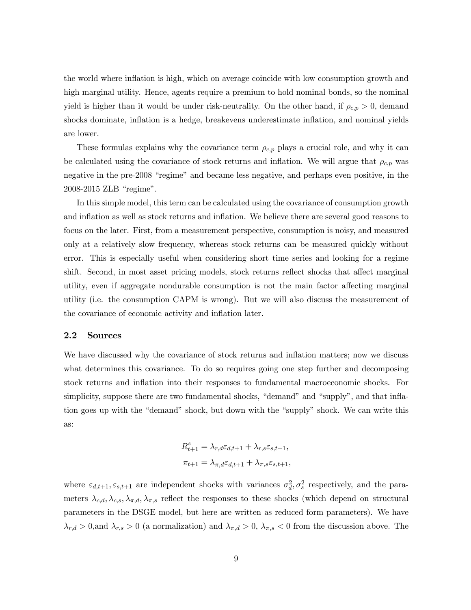the world where inflation is high, which on average coincide with low consumption growth and high marginal utility. Hence, agents require a premium to hold nominal bonds, so the nominal yield is higher than it would be under risk-neutrality. On the other hand, if  $\rho_{c,p} > 0$ , demand shocks dominate, inflation is a hedge, breakevens underestimate inflation, and nominal yields are lower.

These formulas explains why the covariance term  $\rho_{c,p}$  plays a crucial role, and why it can be calculated using the covariance of stock returns and inflation. We will argue that  $\rho_{c,p}$  was negative in the pre-2008 "regime" and became less negative, and perhaps even positive, in the 2008-2015 ZLB "regime".

In this simple model, this term can be calculated using the covariance of consumption growth and inflation as well as stock returns and inflation. We believe there are several good reasons to focus on the later. First, from a measurement perspective, consumption is noisy, and measured only at a relatively slow frequency, whereas stock returns can be measured quickly without error. This is especially useful when considering short time series and looking for a regime shift. Second, in most asset pricing models, stock returns reflect shocks that affect marginal utility, even if aggregate nondurable consumption is not the main factor affecting marginal utility (i.e. the consumption CAPM is wrong). But we will also discuss the measurement of the covariance of economic activity and inflation later.

#### 2.2 Sources

We have discussed why the covariance of stock returns and inflation matters; now we discuss what determines this covariance. To do so requires going one step further and decomposing stock returns and inflation into their responses to fundamental macroeconomic shocks. For simplicity, suppose there are two fundamental shocks, "demand" and "supply", and that inflation goes up with the "demand" shock, but down with the "supply" shock. We can write this as:

$$
R_{t+1}^s = \lambda_{r,d} \varepsilon_{d,t+1} + \lambda_{r,s} \varepsilon_{s,t+1},
$$
  

$$
\pi_{t+1} = \lambda_{\pi,d} \varepsilon_{d,t+1} + \lambda_{\pi,s} \varepsilon_{s,t+1},
$$

where  $\varepsilon_{d,t+1}, \varepsilon_{s,t+1}$  are independent shocks with variances  $\sigma_d^2, \sigma_s^2$  respectively, and the parameters  $\lambda_{c,d}, \lambda_{c,s}, \lambda_{\pi,d}, \lambda_{\pi,s}$  reflect the responses to these shocks (which depend on structural parameters in the DSGE model, but here are written as reduced form parameters). We have  $\lambda_{r,d} > 0$ , and  $\lambda_{r,s} > 0$  (a normalization) and  $\lambda_{\pi,d} > 0$ ,  $\lambda_{\pi,s} < 0$  from the discussion above. The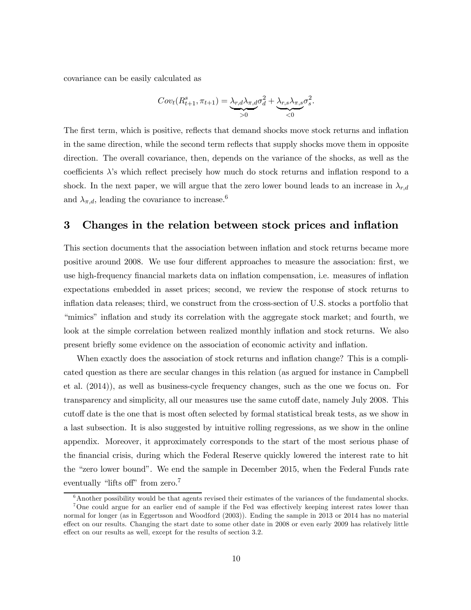covariance can be easily calculated as

$$
Cov_t(R_{t+1}^s, \pi_{t+1}) = \underbrace{\lambda_{r,d} \lambda_{\pi,d}}_{>0} \sigma_d^2 + \underbrace{\lambda_{r,s} \lambda_{\pi,s}}_{<0} \sigma_s^2.
$$

The first term, which is positive, reflects that demand shocks move stock returns and inflation in the same direction, while the second term reflects that supply shocks move them in opposite direction. The overall covariance, then, depends on the variance of the shocks, as well as the coefficients  $\lambda$ 's which reflect precisely how much do stock returns and inflation respond to a shock. In the next paper, we will argue that the zero lower bound leads to an increase in  $\lambda_{r,d}$ and  $\lambda_{\pi,d}$ , leading the covariance to increase.<sup>6</sup>

## 3 Changes in the relation between stock prices and inflation

This section documents that the association between inflation and stock returns became more positive around 2008. We use four different approaches to measure the association: first, we use high-frequency financial markets data on inflation compensation, i.e. measures of inflation expectations embedded in asset prices; second, we review the response of stock returns to inflation data releases; third, we construct from the cross-section of U.S. stocks a portfolio that "mimics" inflation and study its correlation with the aggregate stock market; and fourth, we look at the simple correlation between realized monthly inflation and stock returns. We also present briefly some evidence on the association of economic activity and inflation.

When exactly does the association of stock returns and inflation change? This is a complicated question as there are secular changes in this relation (as argued for instance in Campbell et al. (2014)), as well as business-cycle frequency changes, such as the one we focus on. For transparency and simplicity, all our measures use the same cutoff date, namely July 2008. This cutoff date is the one that is most often selected by formal statistical break tests, as we show in a last subsection. It is also suggested by intuitive rolling regressions, as we show in the online appendix. Moreover, it approximately corresponds to the start of the most serious phase of the financial crisis, during which the Federal Reserve quickly lowered the interest rate to hit the "zero lower bound". We end the sample in December 2015, when the Federal Funds rate eventually "lifts off" from zero.<sup>7</sup>

 $6A$ nother possibility would be that agents revised their estimates of the variances of the fundamental shocks. <sup>7</sup>One could argue for an earlier end of sample if the Fed was effectively keeping interest rates lower than normal for longer (as in Eggertsson and Woodford (2003)). Ending the sample in 2013 or 2014 has no material effect on our results. Changing the start date to some other date in 2008 or even early 2009 has relatively little effect on our results as well, except for the results of section 3.2.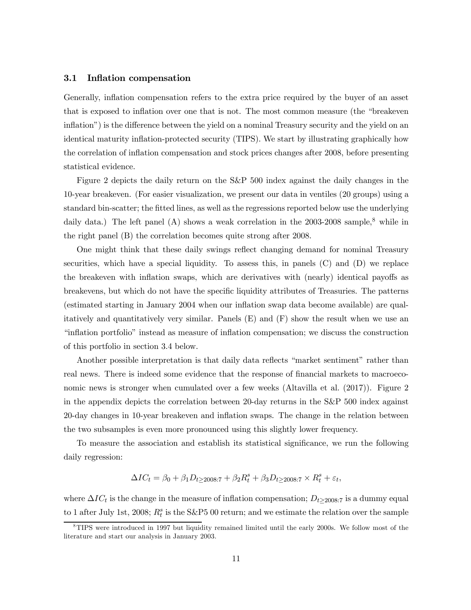#### 3.1 Inflation compensation

Generally, inflation compensation refers to the extra price required by the buyer of an asset that is exposed to inflation over one that is not. The most common measure (the "breakeven inflation") is the difference between the yield on a nominal Treasury security and the yield on an identical maturity inflation-protected security (TIPS). We start by illustrating graphically how the correlation of inflation compensation and stock prices changes after 2008, before presenting statistical evidence.

Figure 2 depicts the daily return on the S&P 500 index against the daily changes in the 10-year breakeven. (For easier visualization, we present our data in ventiles (20 groups) using a standard bin-scatter; the fitted lines, as well as the regressions reported below use the underlying daily data.) The left panel (A) shows a weak correlation in the  $2003-2008$  sample,<sup>8</sup> while in the right panel (B) the correlation becomes quite strong after 2008.

One might think that these daily swings reflect changing demand for nominal Treasury securities, which have a special liquidity. To assess this, in panels  $(C)$  and  $(D)$  we replace the breakeven with inflation swaps, which are derivatives with (nearly) identical payoffs as breakevens, but which do not have the specific liquidity attributes of Treasuries. The patterns (estimated starting in January 2004 when our inflation swap data become available) are qualitatively and quantitatively very similar. Panels  $(E)$  and  $(F)$  show the result when we use an "inflation portfolio" instead as measure of inflation compensation; we discuss the construction of this portfolio in section 3.4 below.

Another possible interpretation is that daily data reflects "market sentiment" rather than real news. There is indeed some evidence that the response of financial markets to macroeconomic news is stronger when cumulated over a few weeks (Altavilla et al. (2017)). Figure 2 in the appendix depicts the correlation between 20-day returns in the S&P 500 index against 20-day changes in 10-year breakeven and inflation swaps. The change in the relation between the two subsamples is even more pronounced using this slightly lower frequency.

To measure the association and establish its statistical significance, we run the following daily regression:

$$
\Delta IC_t = \beta_0 + \beta_1 D_{t \ge 2008:7} + \beta_2 R_t^s + \beta_3 D_{t \ge 2008:7} \times R_t^s + \varepsilon_t,
$$

where  $\Delta IC_t$  is the change in the measure of inflation compensation;  $D_{t\geq 2008:7}$  is a dummy equal to 1 after July 1st, 2008;  $R_t^s$  is the S&P5 00 return; and we estimate the relation over the sample

 $8$ TIPS were introduced in 1997 but liquidity remained limited until the early 2000s. We follow most of the literature and start our analysis in January 2003.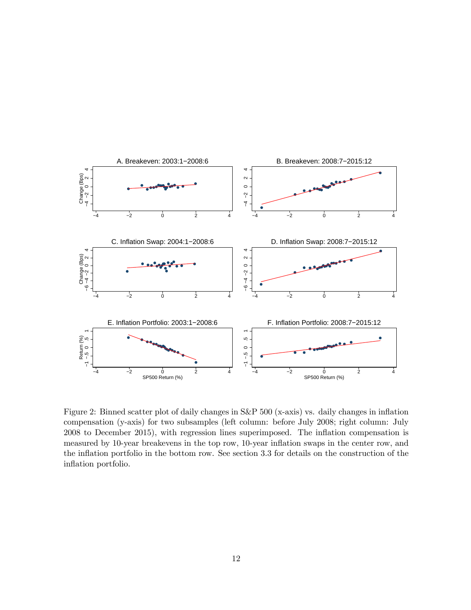

Figure 2: Binned scatter plot of daily changes in S&P 500 (x-axis) vs. daily changes in inflation compensation (y-axis) for two subsamples (left column: before July 2008; right column: July 2008 to December 2015), with regression lines superimposed. The inflation compensation is measured by 10-year breakevens in the top row, 10-year inflation swaps in the center row, and the inflation portfolio in the bottom row. See section 3.3 for details on the construction of the inflation portfolio.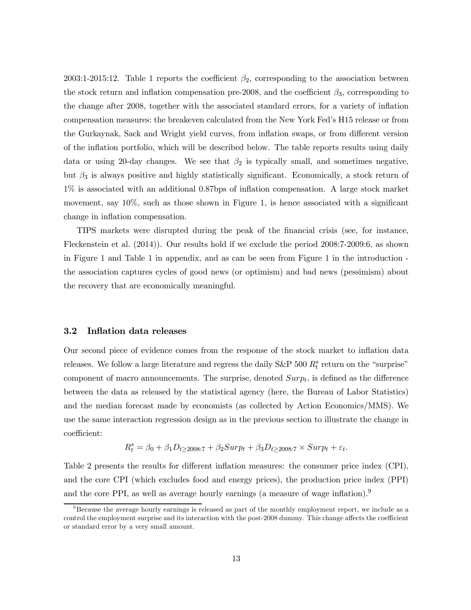2003:1-2015:12. Table 1 reports the coefficient  $\beta_2$ , corresponding to the association between the stock return and inflation compensation pre-2008, and the coefficient  $\beta_3$ , corresponding to the change after 2008, together with the associated standard errors, for a variety of inflation compensation measures: the breakeven calculated from the New York Fed's H15 release or from the Gurkaynak, Sack and Wright yield curves, from inflation swaps, or from different version of the inflation portfolio, which will be described below. The table reports results using daily data or using 20-day changes. We see that  $\beta_2$  is typically small, and sometimes negative, but  $\beta_3$  is always positive and highly statistically significant. Economically, a stock return of 1% is associated with an additional 0.87bps of inflation compensation. A large stock market movement, say 10%, such as those shown in Figure 1, is hence associated with a significant change in inflation compensation.

TIPS markets were disrupted during the peak of the financial crisis (see, for instance, Fleckenstein et al. (2014)). Our results hold if we exclude the period 2008:7-2009:6, as shown in Figure 1 and Table 1 in appendix, and as can be seen from Figure 1 in the introduction the association captures cycles of good news (or optimism) and bad news (pessimism) about the recovery that are economically meaningful.

#### 3.2 Inflation data releases

Our second piece of evidence comes from the response of the stock market to inflation data releases. We follow a large literature and regress the daily  $S\&P$  500  $R_t^s$  return on the "surprise" component of macro announcements. The surprise, denoted  $Surp<sub>t</sub>$ , is defined as the difference between the data as released by the statistical agency (here, the Bureau of Labor Statistics) and the median forecast made by economists (as collected by Action Economics/MMS). We use the same interaction regression design as in the previous section to illustrate the change in coefficient:

$$
R_t^s = \beta_0 + \beta_1 D_{t \ge 2008:7} + \beta_2 Surp_t + \beta_3 D_{t \ge 2008:7} \times Surp_t + \varepsilon_t.
$$

Table 2 presents the results for different inflation measures: the consumer price index (CPI), and the core CPI (which excludes food and energy prices), the production price index (PPI) and the core PPI, as well as average hourly earnings (a measure of wage inflation).<sup>9</sup>

 $98$ Because the average hourly earnings is released as part of the monthly employment report, we include as a control the employment surprise and its interaction with the post-2008 dummy. This change affects the coefficient or standard error by a very small amount.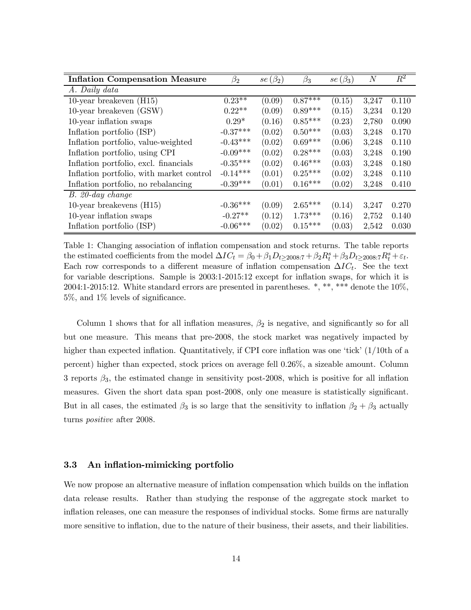| <b>Inflation Compensation Measure</b>    | $\beta_2$  | $se(\beta_2)$ | $\beta_3$ | $se(\beta_3)$ | $\overline{N}$ | $\,R^2$ |
|------------------------------------------|------------|---------------|-----------|---------------|----------------|---------|
| A. Daily data                            |            |               |           |               |                |         |
| 10-year breakeven $(H15)$                | $0.23**$   | (0.09)        | $0.87***$ | (0.15)        | 3,247          | 0.110   |
| $10$ -year breakeven $(GSW)$             | $0.22**$   | (0.09)        | $0.89***$ | (0.15)        | 3,234          | 0.120   |
| 10-year inflation swaps                  | $0.29*$    | (0.16)        | $0.85***$ | (0.23)        | 2,780          | 0.090   |
| Inflation portfolio (ISP)                | $-0.37***$ | (0.02)        | $0.50***$ | (0.03)        | 3,248          | 0.170   |
| Inflation portfolio, value-weighted      | $-0.43***$ | (0.02)        | $0.69***$ | (0.06)        | 3,248          | 0.110   |
| Inflation portfolio, using CPI           | $-0.09***$ | (0.02)        | $0.28***$ | (0.03)        | 3,248          | 0.190   |
| Inflation portfolio, excl. financials    | $-0.35***$ | (0.02)        | $0.46***$ | (0.03)        | 3,248          | 0.180   |
| Inflation portfolio, with market control | $-0.14***$ | (0.01)        | $0.25***$ | (0.02)        | 3,248          | 0.110   |
| Inflation portfolio, no rebalancing      | $-0.39***$ | (0.01)        | $0.16***$ | (0.02)        | 3,248          | 0.410   |
| $B. 20$ -day change                      |            |               |           |               |                |         |
| 10-year breakevens $(H15)$               | $-0.36***$ | (0.09)        | $2.65***$ | (0.14)        | 3,247          | 0.270   |
| 10-year inflation swaps                  | $-0.27**$  | (0.12)        | $1.73***$ | (0.16)        | 2,752          | 0.140   |
| Inflation portfolio (ISP)                | $-0.06***$ | (0.02)        | $0.15***$ | (0.03)        | 2,542          | 0.030   |

Table 1: Changing association of inflation compensation and stock returns. The table reports the estimated coefficients from the model  $\Delta IC_t = \beta_0 + \beta_1 D_{t \ge 2008.7} + \beta_2 R_t^s + \beta_3 D_{t \ge 2008.7} R_t^s + \varepsilon_t$ . Each row corresponds to a different measure of inflation compensation  $\Delta IC_t$ . See the text for variable descriptions. Sample is 2003:1-2015:12 except for inflation swaps, for which it is 2004:1-2015:12. White standard errors are presented in parentheses.  $*, **$ , \*\*\* denote the 10%, 5%, and 1% levels of significance.

Column 1 shows that for all inflation measures,  $\beta_2$  is negative, and significantly so for all but one measure. This means that pre-2008, the stock market was negatively impacted by higher than expected inflation. Quantitatively, if CPI core inflation was one 'tick' (1/10th of a percent) higher than expected, stock prices on average fell 0.26%, a sizeable amount. Column 3 reports  $\beta_3$ , the estimated change in sensitivity post-2008, which is positive for all inflation measures. Given the short data span post-2008, only one measure is statistically significant. But in all cases, the estimated  $\beta_3$  is so large that the sensitivity to inflation  $\beta_2 + \beta_3$  actually turns positive after 2008.

#### 3.3 An inflation-mimicking portfolio

We now propose an alternative measure of inflation compensation which builds on the inflation data release results. Rather than studying the response of the aggregate stock market to inflation releases, one can measure the responses of individual stocks. Some firms are naturally more sensitive to inflation, due to the nature of their business, their assets, and their liabilities.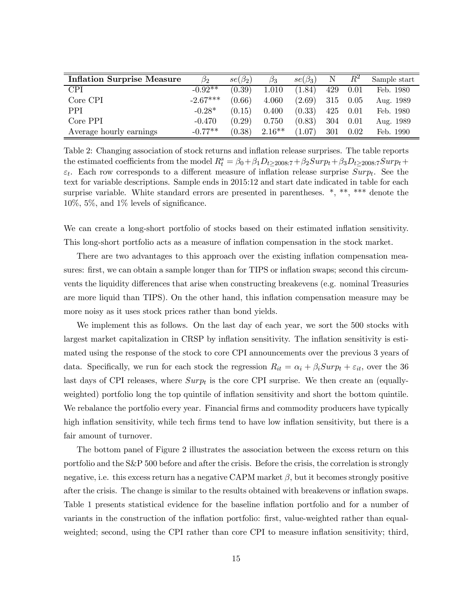| <b>Inflation Surprise Measure</b> | $\beta_2$  | $se(\beta_2)$ | $\beta_3$ | $se(\beta_3)$ | Ν   | $R^2$ | Sample start |
|-----------------------------------|------------|---------------|-----------|---------------|-----|-------|--------------|
| CPI                               | $-0.92**$  | (0.39)        | 1.010     | (1.84)        | 429 | 0.01  | Feb. 1980    |
| Core CPI                          | $-2.67***$ | (0.66)        | 4.060     | (2.69)        | 315 | 0.05  | Aug. 1989    |
| <b>PPI</b>                        | $-0.28*$   | (0.15)        | 0.400     | (0.33)        | 425 | 0.01  | Feb. 1980    |
| Core PPI                          | $-0.470$   | (0.29)        | 0.750     | (0.83)        | 304 | 0.01  | Aug. 1989    |
| Average hourly earnings           | $-0.77**$  | (0.38)        | $2.16***$ | (1.07)        | 301 | 0.02  | Feb. 1990    |

Table 2: Changing association of stock returns and inflation release surprises. The table reports the estimated coefficients from the model  $R_t^s = \beta_0 + \beta_1 D_{t \ge 2008.7} + \beta_2 Surp_t + \beta_3 D_{t \ge 2008.7}Surp_t +$  $\varepsilon_t$ . Each row corresponds to a different measure of inflation release surprise  $Surp_t$ . See the text for variable descriptions. Sample ends in 2015:12 and start date indicated in table for each surprise variable. White standard errors are presented in parentheses.  $*, **$ , \*\*\* denote the 10%, 5%, and 1% levels of significance.

We can create a long-short portfolio of stocks based on their estimated inflation sensitivity. This long-short portfolio acts as a measure of inflation compensation in the stock market.

There are two advantages to this approach over the existing inflation compensation measures: first, we can obtain a sample longer than for TIPS or inflation swaps; second this circumvents the liquidity differences that arise when constructing breakevens (e.g. nominal Treasuries are more liquid than TIPS). On the other hand, this inflation compensation measure may be more noisy as it uses stock prices rather than bond yields.

We implement this as follows. On the last day of each year, we sort the 500 stocks with largest market capitalization in CRSP by inflation sensitivity. The inflation sensitivity is estimated using the response of the stock to core CPI announcements over the previous 3 years of data. Specifically, we run for each stock the regression  $R_{it} = \alpha_i + \beta_i Surp_t + \varepsilon_{it}$ , over the 36 last days of CPI releases, where  $Surp<sub>t</sub>$  is the core CPI surprise. We then create an (equallyweighted) portfolio long the top quintile of inflation sensitivity and short the bottom quintile. We rebalance the portfolio every year. Financial firms and commodity producers have typically high inflation sensitivity, while tech firms tend to have low inflation sensitivity, but there is a fair amount of turnover.

The bottom panel of Figure 2 illustrates the association between the excess return on this portfolio and the S&P 500 before and after the crisis. Before the crisis, the correlation is strongly negative, i.e. this excess return has a negative CAPM market  $\beta$ , but it becomes strongly positive after the crisis. The change is similar to the results obtained with breakevens or inflation swaps. Table 1 presents statistical evidence for the baseline inflation portfolio and for a number of variants in the construction of the inflation portfolio: first, value-weighted rather than equalweighted; second, using the CPI rather than core CPI to measure inflation sensitivity; third,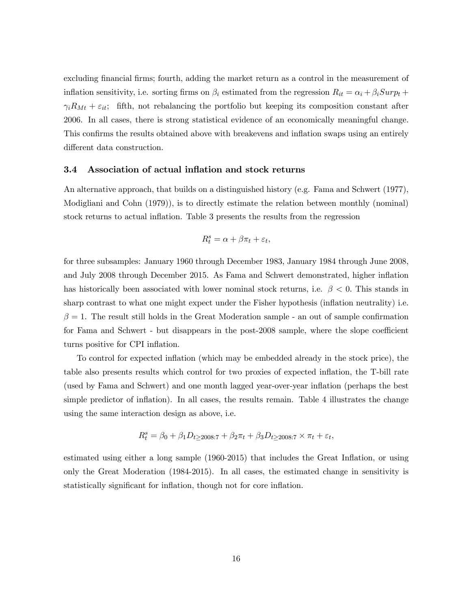excluding financial firms; fourth, adding the market return as a control in the measurement of inflation sensitivity, i.e. sorting firms on  $\beta_i$  estimated from the regression  $R_{it} = \alpha_i + \beta_i S_{\mu} p_t +$  $\gamma_i R_{Mt} + \varepsilon_{it}$ ; fifth, not rebalancing the portfolio but keeping its composition constant after 2006. In all cases, there is strong statistical evidence of an economically meaningful change. This confirms the results obtained above with breakevens and inflation swaps using an entirely different data construction.

#### 3.4 Association of actual inflation and stock returns

An alternative approach, that builds on a distinguished history (e.g. Fama and Schwert (1977), Modigliani and Cohn (1979)), is to directly estimate the relation between monthly (nominal) stock returns to actual inflation. Table 3 presents the results from the regression

$$
R_t^s = \alpha + \beta \pi_t + \varepsilon_t,
$$

for three subsamples: January 1960 through December 1983, January 1984 through June 2008, and July 2008 through December 2015. As Fama and Schwert demonstrated, higher inflation has historically been associated with lower nominal stock returns, i.e.  $\beta < 0$ . This stands in sharp contrast to what one might expect under the Fisher hypothesis (inflation neutrality) i.e.  $\beta = 1$ . The result still holds in the Great Moderation sample - an out of sample confirmation for Fama and Schwert - but disappears in the post-2008 sample, where the slope coefficient turns positive for CPI inflation.

To control for expected inflation (which may be embedded already in the stock price), the table also presents results which control for two proxies of expected inflation, the T-bill rate (used by Fama and Schwert) and one month lagged year-over-year inflation (perhaps the best simple predictor of inflation). In all cases, the results remain. Table 4 illustrates the change using the same interaction design as above, i.e.

$$
R_t^s = \beta_0 + \beta_1 D_{t \ge 2008:7} + \beta_2 \pi_t + \beta_3 D_{t \ge 2008:7} \times \pi_t + \varepsilon_t,
$$

estimated using either a long sample (1960-2015) that includes the Great Inflation, or using only the Great Moderation (1984-2015). In all cases, the estimated change in sensitivity is statistically significant for inflation, though not for core inflation.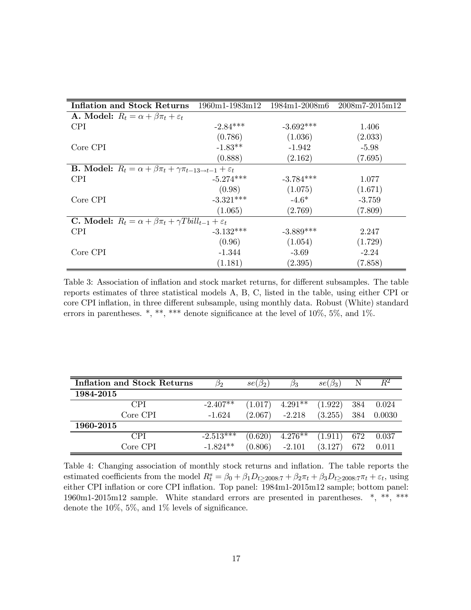| <b>Inflation and Stock Returns</b>                                                         | $1960m1 - 1983m12$ | $1984 \text{m}$ 1-2008 $\text{m}$ 6 | 2008m7-2015m12 |  |  |  |  |  |  |
|--------------------------------------------------------------------------------------------|--------------------|-------------------------------------|----------------|--|--|--|--|--|--|
| <b>A.</b> Model: $R_t = \alpha + \beta \pi_t + \varepsilon_t$                              |                    |                                     |                |  |  |  |  |  |  |
| <b>CPI</b>                                                                                 | $-2.84***$         | $-3.692***$                         | 1.406          |  |  |  |  |  |  |
|                                                                                            | (0.786)            | (1.036)                             | (2.033)        |  |  |  |  |  |  |
| Core CPI                                                                                   | $-1.83**$          | $-1.942$                            | $-5.98$        |  |  |  |  |  |  |
|                                                                                            | (0.888)            | (2.162)                             | (7.695)        |  |  |  |  |  |  |
| <b>B.</b> Model: $R_t = \alpha + \beta \pi_t + \gamma \pi_{t-13 \to t-1} + \varepsilon_t$  |                    |                                     |                |  |  |  |  |  |  |
| <b>CPI</b>                                                                                 | $-5.274***$        | $-3.784***$                         | 1.077          |  |  |  |  |  |  |
|                                                                                            | (0.98)             | (1.075)                             | (1.671)        |  |  |  |  |  |  |
| Core CPI                                                                                   | $-3.321***$        | $-4.6*$                             | $-3.759$       |  |  |  |  |  |  |
|                                                                                            | (1.065)            | (2.769)                             | (7.809)        |  |  |  |  |  |  |
| <b>C.</b> Model: $R_t = \alpha + \beta \pi_t + \gamma T \text{bill}_{t-1} + \varepsilon_t$ |                    |                                     |                |  |  |  |  |  |  |
| <b>CPI</b>                                                                                 | $-3.132***$        | $-3.889***$                         | 2.247          |  |  |  |  |  |  |
|                                                                                            | (0.96)             | (1.054)                             | (1.729)        |  |  |  |  |  |  |
| Core CPI                                                                                   | $-1.344$           | $-3.69$                             | $-2.24$        |  |  |  |  |  |  |
|                                                                                            | (1.181)            | (2.395)                             | (7.858)        |  |  |  |  |  |  |

Table 3: Association of inflation and stock market returns, for different subsamples. The table reports estimates of three statistical models A, B, C, listed in the table, using either CPI or core CPI inflation, in three different subsample, using monthly data. Robust (White) standard errors in parentheses. \*, \*\*, \*\*\* denote significance at the level of  $10\%$ ,  $5\%$ , and  $1\%$ .

| <b>Inflation and Stock Returns</b> | 52          | $se(\beta_2)$ | Ρ3        | $se(\beta_3)$ |     | $R^2$  |
|------------------------------------|-------------|---------------|-----------|---------------|-----|--------|
| 1984-2015                          |             |               |           |               |     |        |
| <b>CPI</b>                         | $-2.407**$  | (1.017)       | $4.291**$ | (1.922)       | 384 | 0.024  |
| Core CPI                           | $-1.624$    | (2.067)       | $-2.218$  | (3.255)       | 384 | 0.0030 |
| 1960-2015                          |             |               |           |               |     |        |
| <b>CPI</b>                         | $-2.513***$ | (0.620)       | $4.276**$ | (1.911)       | 672 | 0.037  |
| Core CPI                           | $-1.824**$  | (0.806)       | $-2.101$  | (3.127)       | 672 | 0.011  |

Table 4: Changing association of monthly stock returns and inflation. The table reports the estimated coefficients from the model  $R_t^s = \beta_0 + \beta_1 D_{t \ge 2008:7} + \beta_2 \pi_t + \beta_3 D_{t \ge 2008:7} \pi_t + \varepsilon_t$ , using either CPI inflation or core CPI inflation. Top panel: 1984m1-2015m12 sample; bottom panel: 1960m1-2015m12 sample. White standard errors are presented in parentheses. \*, \*\*, \*\*\* denote the 10%, 5%, and 1% levels of significance.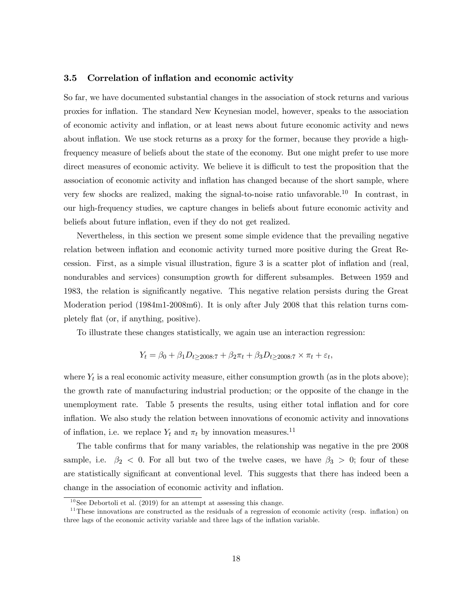#### 3.5 Correlation of inflation and economic activity

So far, we have documented substantial changes in the association of stock returns and various proxies for inflation. The standard New Keynesian model, however, speaks to the association of economic activity and inflation, or at least news about future economic activity and news about inflation. We use stock returns as a proxy for the former, because they provide a highfrequency measure of beliefs about the state of the economy. But one might prefer to use more direct measures of economic activity. We believe it is difficult to test the proposition that the association of economic activity and inflation has changed because of the short sample, where very few shocks are realized, making the signal-to-noise ratio unfavorable.<sup>10</sup> In contrast, in our high-frequency studies, we capture changes in beliefs about future economic activity and beliefs about future inflation, even if they do not get realized.

Nevertheless, in this section we present some simple evidence that the prevailing negative relation between inflation and economic activity turned more positive during the Great Recession. First, as a simple visual illustration, figure 3 is a scatter plot of inflation and (real, nondurables and services) consumption growth for different subsamples. Between 1959 and 1983, the relation is significantly negative. This negative relation persists during the Great Moderation period (1984m1-2008m6). It is only after July 2008 that this relation turns completely flat (or, if anything, positive).

To illustrate these changes statistically, we again use an interaction regression:

$$
Y_t = \beta_0 + \beta_1 D_{t \ge 2008:7} + \beta_2 \pi_t + \beta_3 D_{t \ge 2008:7} \times \pi_t + \varepsilon_t,
$$

where  $Y_t$  is a real economic activity measure, either consumption growth (as in the plots above); the growth rate of manufacturing industrial production; or the opposite of the change in the unemployment rate. Table 5 presents the results, using either total inflation and for core inflation. We also study the relation between innovations of economic activity and innovations of inflation, i.e. we replace  $Y_t$  and  $\pi_t$  by innovation measures.<sup>11</sup>

The table confirms that for many variables, the relationship was negative in the pre 2008 sample, i.e.  $\beta_2$  < 0. For all but two of the twelve cases, we have  $\beta_3$  > 0; four of these are statistically significant at conventional level. This suggests that there has indeed been a change in the association of economic activity and inflation.

 $10$  See Debortoli et al. (2019) for an attempt at assessing this change.

<sup>&</sup>lt;sup>11</sup>These innovations are constructed as the residuals of a regression of economic activity (resp. inflation) on three lags of the economic activity variable and three lags of the inflation variable.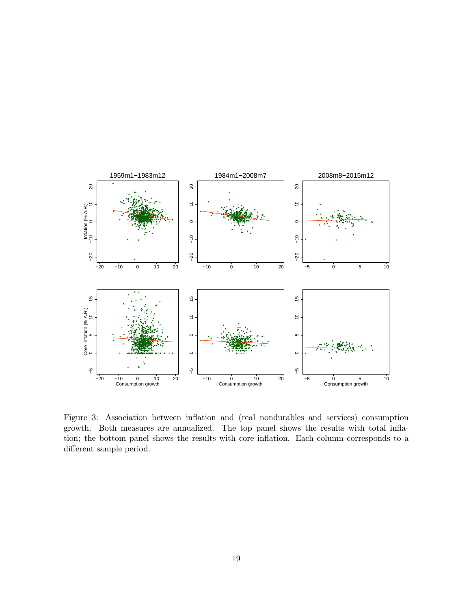

Figure 3: Association between inflation and (real nondurables and services) consumption growth. Both measures are annualized. The top panel shows the results with total inflation; the bottom panel shows the results with core inflation. Each column corresponds to a different sample period.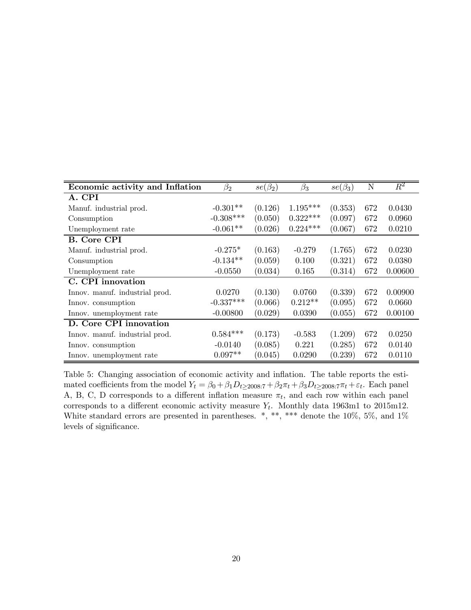| Economic activity and Inflation | $\beta_2$   | $se(\beta_2)$ | $\beta_3$  | $se(\beta_3)$ | N   | $\overline{R^2}$ |
|---------------------------------|-------------|---------------|------------|---------------|-----|------------------|
| A. CPI                          |             |               |            |               |     |                  |
| Manuf. industrial prod.         | $-0.301**$  | (0.126)       | $1.195***$ | (0.353)       | 672 | 0.0430           |
| Consumption                     | $-0.308***$ | (0.050)       | $0.322***$ | (0.097)       | 672 | 0.0960           |
| Unemployment rate               | $-0.061**$  | (0.026)       | $0.224***$ | (0.067)       | 672 | 0.0210           |
| B. Core CPI                     |             |               |            |               |     |                  |
| Manuf. industrial prod.         | $-0.275*$   | (0.163)       | $-0.279$   | (1.765)       | 672 | 0.0230           |
| Consumption                     | $-0.134**$  | (0.059)       | 0.100      | (0.321)       | 672 | 0.0380           |
| Unemployment rate               | $-0.0550$   | (0.034)       | 0.165      | (0.314)       | 672 | 0.00600          |
| C. CPI innovation               |             |               |            |               |     |                  |
| Innov. manuf. industrial prod.  | 0.0270      | (0.130)       | 0.0760     | (0.339)       | 672 | 0.00900          |
| Innov. consumption              | $-0.337***$ | (0.066)       | $0.212**$  | (0.095)       | 672 | 0.0660           |
| Innov. unemployment rate        | $-0.00800$  | (0.029)       | 0.0390     | (0.055)       | 672 | 0.00100          |
| D. Core CPI innovation          |             |               |            |               |     |                  |
| Innov. manuf. industrial prod.  | $0.584***$  | (0.173)       | $-0.583$   | (1.209)       | 672 | 0.0250           |
| Innov. consumption              | $-0.0140$   | (0.085)       | 0.221      | (0.285)       | 672 | 0.0140           |
| Innov. unemployment rate        | $0.097**$   | (0.045)       | 0.0290     | (0.239)       | 672 | 0.0110           |

Table 5: Changing association of economic activity and inflation. The table reports the estimated coefficients from the model  $Y_t = \beta_0 + \beta_1 D_{t \ge 2008:7} + \beta_2 \pi_t + \beta_3 D_{t \ge 2008:7} \pi_t + \varepsilon_t$ . Each panel A, B, C, D corresponds to a different inflation measure  $\pi_t$ , and each row within each panel corresponds to a different economic activity measure  $Y_t$ . Monthly data 1963m1 to 2015m12. White standard errors are presented in parentheses.  $*, **$ , \*\*\* denote the 10%, 5%, and 1% levels of significance.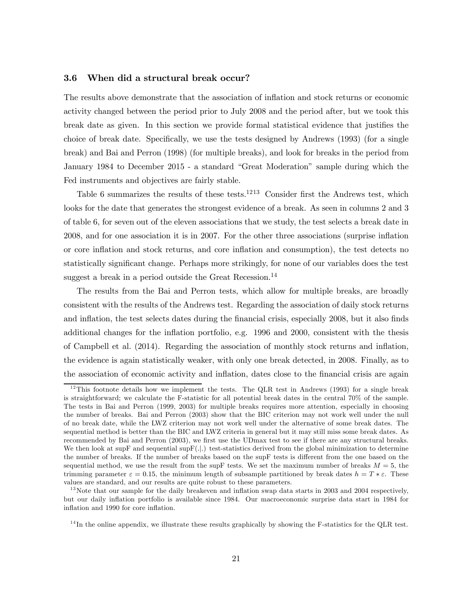#### 3.6 When did a structural break occur?

The results above demonstrate that the association of inflation and stock returns or economic activity changed between the period prior to July 2008 and the period after, but we took this break date as given. In this section we provide formal statistical evidence that justifies the choice of break date. Specifically, we use the tests designed by Andrews (1993) (for a single break) and Bai and Perron (1998) (for multiple breaks), and look for breaks in the period from January 1984 to December 2015 - a standard "Great Moderation" sample during which the Fed instruments and objectives are fairly stable.

Table 6 summarizes the results of these tests.<sup>1213</sup> Consider first the Andrews test, which looks for the date that generates the strongest evidence of a break. As seen in columns 2 and 3 of table 6, for seven out of the eleven associations that we study, the test selects a break date in 2008, and for one association it is in 2007. For the other three associations (surprise inflation or core inflation and stock returns, and core inflation and consumption), the test detects no statistically significant change. Perhaps more strikingly, for none of our variables does the test suggest a break in a period outside the Great Recession.<sup>14</sup>

The results from the Bai and Perron tests, which allow for multiple breaks, are broadly consistent with the results of the Andrews test. Regarding the association of daily stock returns and inflation, the test selects dates during the financial crisis, especially 2008, but it also finds additional changes for the inflation portfolio, e.g. 1996 and 2000, consistent with the thesis of Campbell et al. (2014). Regarding the association of monthly stock returns and inflation, the evidence is again statistically weaker, with only one break detected, in 2008. Finally, as to the association of economic activity and inflation, dates close to the financial crisis are again

 $12$ This footnote details how we implement the tests. The QLR test in Andrews (1993) for a single break is straightforward; we calculate the F-statistic for all potential break dates in the central 70% of the sample. The tests in Bai and Perron (1999, 2003) for multiple breaks requires more attention, especially in choosing the number of breaks. Bai and Perron (2003) show that the BIC criterion may not work well under the null of no break date, while the LWZ criterion may not work well under the alternative of some break dates. The sequential method is better than the BIC and LWZ criteria in general but it may still miss some break dates. As recommended by Bai and Perron (2003), we first use the UDmax test to see if there are any structural breaks. We then look at supF and sequential sup $F(.|.)$  test-statistics derived from the global minimization to determine the number of breaks. If the number of breaks based on the supF tests is different from the one based on the sequential method, we use the result from the supF tests. We set the maximum number of breaks  $M = 5$ , the trimming parameter  $\varepsilon = 0.15$ , the minimum length of subsample partitioned by break dates  $h = T * \varepsilon$ . These values are standard, and our results are quite robust to these parameters.

 $13$ Note that our sample for the daily breakeven and inflation swap data starts in 2003 and 2004 respectively, but our daily inflation portfolio is available since 1984. Our macroeconomic surprise data start in 1984 for inflation and 1990 for core inflation.

 $14$ In the online appendix, we illustrate these results graphically by showing the F-statistics for the QLR test.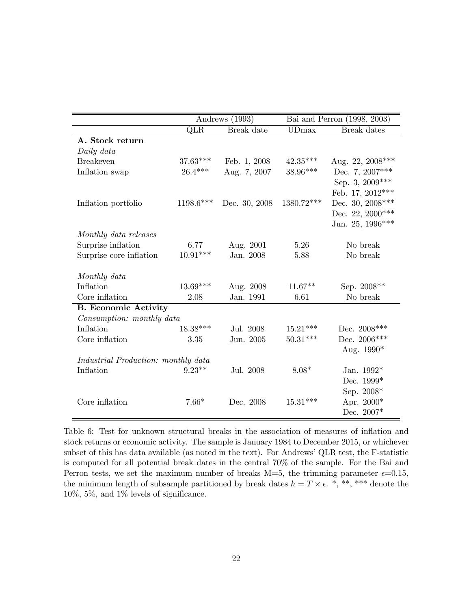|                                     |             | Andrews (1993) |              | Bai and Perron (1998, 2003) |
|-------------------------------------|-------------|----------------|--------------|-----------------------------|
|                                     | <b>QLR</b>  | Break date     | <b>UDmax</b> | <b>Break</b> dates          |
| A. Stock return                     |             |                |              |                             |
| Daily data                          |             |                |              |                             |
| <b>Breakeven</b>                    | $37.63***$  | Feb. 1, 2008   | $42.35***$   | Aug. 22, 2008***            |
| Inflation swap                      | $26.4***$   | Aug. 7, 2007   | 38.96***     | Dec. 7, $2007***$           |
|                                     |             |                |              | Sep. 3, $2009***$           |
|                                     |             |                |              | Feb. 17, 2012***            |
| Inflation portfolio                 | $1198.6***$ | Dec. 30, 2008  | 1380.72***   | Dec. 30, $2008***$          |
|                                     |             |                |              | Dec. 22, $2000***$          |
|                                     |             |                |              | Jun. 25, 1996***            |
| Monthly data releases               |             |                |              |                             |
| Surprise inflation                  | 6.77        | Aug. 2001      | 5.26         | No break                    |
| Surprise core inflation             | $10.91***$  | Jan. 2008      | 5.88         | No break                    |
|                                     |             |                |              |                             |
| Monthly data                        |             |                |              |                             |
| Inflation                           | $13.69***$  | Aug. 2008      | $11.67**$    | Sep. 2008**                 |
| Core inflation                      | 2.08        | Jan. 1991      | 6.61         | No break                    |
| <b>B.</b> Economic Activity         |             |                |              |                             |
| Consumption: monthly data           |             |                |              |                             |
| Inflation                           | $18.38***$  | Jul. 2008      | $15.21***$   | Dec. $2008***$              |
| Core inflation                      | 3.35        | Jun. 2005      | $50.31***$   | Dec. 2006***                |
|                                     |             |                |              | Aug. 1990*                  |
| Industrial Production: monthly data |             |                |              |                             |
| Inflation                           | $9.23**$    | Jul. 2008      | $8.08*$      | Jan. $1992*$                |
|                                     |             |                |              | Dec. 1999*                  |
|                                     |             |                |              | Sep. 2008*                  |
| Core inflation                      | $7.66*$     | Dec. 2008      | $15.31***$   | Apr. 2000*                  |
|                                     |             |                |              | Dec. 2007*                  |

Table 6: Test for unknown structural breaks in the association of measures of inflation and stock returns or economic activity. The sample is January 1984 to December 2015, or whichever subset of this has data available (as noted in the text). For Andrews' QLR test, the F-statistic is computed for all potential break dates in the central 70% of the sample. For the Bai and Perron tests, we set the maximum number of breaks M=5, the trimming parameter  $\epsilon$ =0.15, the minimum length of subsample partitioned by break dates  $h = T \times \epsilon$ . \*, \*\*, \*\*\* denote the 10%, 5%, and 1% levels of significance.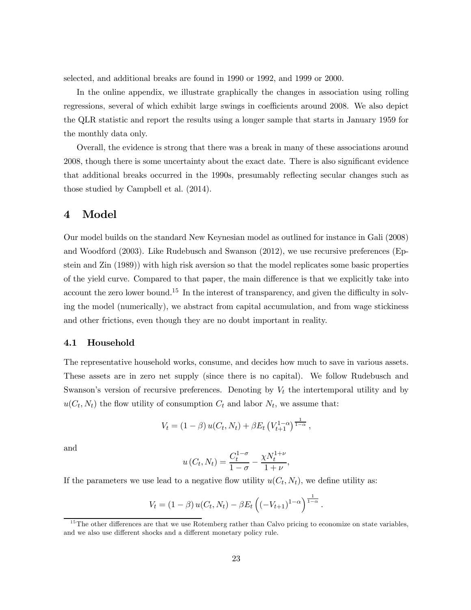selected, and additional breaks are found in 1990 or 1992, and 1999 or 2000.

In the online appendix, we illustrate graphically the changes in association using rolling regressions, several of which exhibit large swings in coefficients around 2008. We also depict the QLR statistic and report the results using a longer sample that starts in January 1959 for the monthly data only.

Overall, the evidence is strong that there was a break in many of these associations around 2008, though there is some uncertainty about the exact date. There is also significant evidence that additional breaks occurred in the 1990s, presumably reflecting secular changes such as those studied by Campbell et al. (2014).

## 4 Model

Our model builds on the standard New Keynesian model as outlined for instance in Gali (2008) and Woodford (2003). Like Rudebusch and Swanson (2012), we use recursive preferences (Epstein and Zin (1989)) with high risk aversion so that the model replicates some basic properties of the yield curve. Compared to that paper, the main difference is that we explicitly take into account the zero lower bound.<sup>15</sup> In the interest of transparency, and given the difficulty in solving the model (numerically), we abstract from capital accumulation, and from wage stickiness and other frictions, even though they are no doubt important in reality.

#### 4.1 Household

The representative household works, consume, and decides how much to save in various assets. These assets are in zero net supply (since there is no capital). We follow Rudebusch and Swanson's version of recursive preferences. Denoting by  $V_t$  the intertemporal utility and by  $u(C_t, N_t)$  the flow utility of consumption  $C_t$  and labor  $N_t$ , we assume that:

$$
V_t = (1 - \beta) u(C_t, N_t) + \beta E_t \left( V_{t+1}^{1-\alpha} \right)^{\frac{1}{1-\alpha}},
$$

and

$$
u(C_t, N_t) = \frac{C_t^{1-\sigma}}{1-\sigma} - \frac{\chi N_t^{1+\nu}}{1+\nu},
$$

If the parameters we use lead to a negative flow utility  $u(C_t, N_t)$ , we define utility as:

$$
V_t = (1 - \beta) u(C_t, N_t) - \beta E_t \left( (-V_{t+1})^{1-\alpha} \right)^{\frac{1}{1-\alpha}}
$$

 $\ddot{\phantom{0}}$ 

 $15$ The other differences are that we use Rotemberg rather than Calvo pricing to economize on state variables, and we also use different shocks and a different monetary policy rule.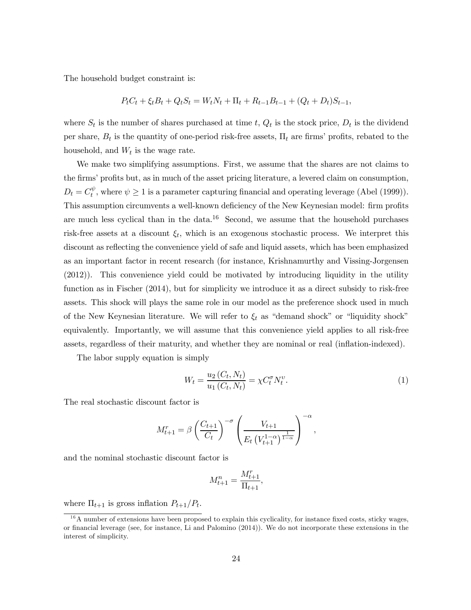The household budget constraint is:

$$
P_t C_t + \xi_t B_t + Q_t S_t = W_t N_t + \Pi_t + R_{t-1} B_{t-1} + (Q_t + D_t) S_{t-1},
$$

where  $S_t$  is the number of shares purchased at time t,  $Q_t$  is the stock price,  $D_t$  is the dividend per share,  $B_t$  is the quantity of one-period risk-free assets,  $\Pi_t$  are firms' profits, rebated to the household, and  $W_t$  is the wage rate.

We make two simplifying assumptions. First, we assume that the shares are not claims to the firms' profits but, as in much of the asset pricing literature, a levered claim on consumption,  $D_t = C_t^{\psi}$ , where  $\psi \ge 1$  is a parameter capturing financial and operating leverage (Abel (1999)). This assumption circumvents a well-known deficiency of the New Keynesian model: firm profits are much less cyclical than in the data.<sup>16</sup> Second, we assume that the household purchases risk-free assets at a discount  $\xi_t$ , which is an exogenous stochastic process. We interpret this discount as reflecting the convenience yield of safe and liquid assets, which has been emphasized as an important factor in recent research (for instance, Krishnamurthy and Vissing-Jorgensen (2012)). This convenience yield could be motivated by introducing liquidity in the utility function as in Fischer (2014), but for simplicity we introduce it as a direct subsidy to risk-free assets. This shock will plays the same role in our model as the preference shock used in much of the New Keynesian literature. We will refer to  $\xi_t$  as "demand shock" or "liquidity shock" equivalently. Importantly, we will assume that this convenience yield applies to all risk-free assets, regardless of their maturity, and whether they are nominal or real (inflation-indexed).

The labor supply equation is simply

$$
W_t = \frac{u_2(C_t, N_t)}{u_1(C_t, N_t)} = \chi C_t^{\sigma} N_t^{\nu}.
$$
\n(1)

The real stochastic discount factor is

$$
M_{t+1}^{r} = \beta \left(\frac{C_{t+1}}{C_{t}}\right)^{-\sigma} \left(\frac{V_{t+1}}{E_{t} \left(V_{t+1}^{1-\alpha}\right)^{\frac{1}{1-\alpha}}}\right)^{-\alpha},
$$

and the nominal stochastic discount factor is

$$
M_{t+1}^n = \frac{M_{t+1}^r}{\Pi_{t+1}},
$$

where  $\Pi_{t+1}$  is gross inflation  $P_{t+1}/P_t$ .

 $16$ A number of extensions have been proposed to explain this cyclicality, for instance fixed costs, sticky wages, or financial leverage (see, for instance, Li and Palomino (2014)). We do not incorporate these extensions in the interest of simplicity.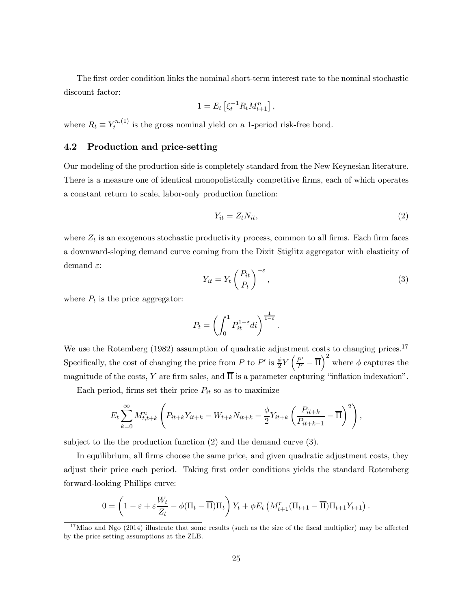The first order condition links the nominal short-term interest rate to the nominal stochastic discount factor:

$$
1 = E_t \left[ \xi_t^{-1} R_t M_{t+1}^n \right],
$$

where  $R_t \equiv Y_t^{n,(1)}$  is the gross nominal yield on a 1-period risk-free bond.

#### 4.2 Production and price-setting

Our modeling of the production side is completely standard from the New Keynesian literature. There is a measure one of identical monopolistically competitive firms, each of which operates a constant return to scale, labor-only production function:

$$
Y_{it} = Z_t N_{it},\tag{2}
$$

where  $Z_t$  is an exogenous stochastic productivity process, common to all firms. Each firm faces a downward-sloping demand curve coming from the Dixit Stiglitz aggregator with elasticity of demand  $\varepsilon$ :

$$
Y_{it} = Y_t \left(\frac{P_{it}}{P_t}\right)^{-\varepsilon},\tag{3}
$$

where  $P_t$  is the price aggregator:

$$
P_t = \left(\int_0^1 P_{it}^{1-\varepsilon} di\right)^{\frac{1}{1-\varepsilon}}.
$$

We use the Rotemberg (1982) assumption of quadratic adjustment costs to changing prices.<sup>17</sup> Specifically, the cost of changing the price from P to P' is  $\frac{\phi}{2} Y \left( \frac{P'}{P} - \overline{\Pi} \right)^2$  where  $\phi$  captures the magnitude of the costs, Y are firm sales, and  $\overline{\Pi}$  is a parameter capturing "inflation indexation".

Each period, firms set their price  $P_{it}$  so as to maximize

$$
E_t \sum_{k=0}^{\infty} M_{t,t+k}^n \left( P_{it+k} Y_{it+k} - W_{t+k} N_{it+k} - \frac{\phi}{2} Y_{it+k} \left( \frac{P_{it+k}}{P_{it+k-1}} - \overline{\Pi} \right)^2 \right),
$$

subject to the the production function (2) and the demand curve (3).

In equilibrium, all firms choose the same price, and given quadratic adjustment costs, they adjust their price each period. Taking first order conditions yields the standard Rotemberg forward-looking Phillips curve:

$$
0 = \left(1 - \varepsilon + \varepsilon \frac{W_t}{Z_t} - \phi(\Pi_t - \overline{\Pi})\Pi_t\right)Y_t + \phi E_t\left(M_{t+1}^T(\Pi_{t+1} - \overline{\Pi})\Pi_{t+1}Y_{t+1}\right).
$$

 $17$ Miao and Ngo (2014) illustrate that some results (such as the size of the fiscal multiplier) may be affected by the price setting assumptions at the ZLB.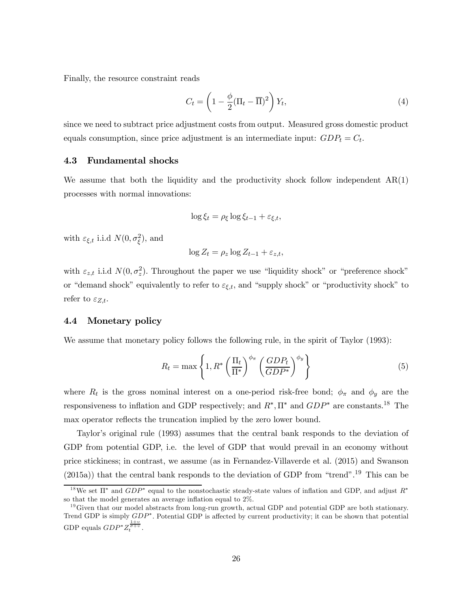Finally, the resource constraint reads

$$
C_t = \left(1 - \frac{\phi}{2}(\Pi_t - \overline{\Pi})^2\right)Y_t,
$$
\n(4)

since we need to subtract price adjustment costs from output. Measured gross domestic product equals consumption, since price adjustment is an intermediate input:  $GDP_t = C_t$ .

#### 4.3 Fundamental shocks

We assume that both the liquidity and the productivity shock follow independent  $AR(1)$ processes with normal innovations:

$$
\log \xi_t = \rho_{\xi} \log \xi_{t-1} + \varepsilon_{\xi,t},
$$

with  $\varepsilon_{\xi,t}$  i.i.d  $N(0, \sigma_{\xi}^2)$ , and

$$
\log Z_t = \rho_z \log Z_{t-1} + \varepsilon_{z,t},
$$

with  $\varepsilon_{z,t}$  i.i.d  $N(0, \sigma_z^2)$ . Throughout the paper we use "liquidity shock" or "preference shock" or "demand shock" equivalently to refer to  $\varepsilon_{\xi,t}$ , and "supply shock" or "productivity shock" to refer to  $\varepsilon_{Z,t}$ .

#### 4.4 Monetary policy

We assume that monetary policy follows the following rule, in the spirit of Taylor (1993):

$$
R_t = \max\left\{1, R^*\left(\frac{\Pi_t}{\Pi^*}\right)^{\phi_\pi} \left(\frac{GDP_t}{GDP^*}\right)^{\phi_y}\right\} \tag{5}
$$

where  $R_t$  is the gross nominal interest on a one-period risk-free bond;  $\phi_{\pi}$  and  $\phi_y$  are the responsiveness to inflation and GDP respectively; and  $R^*$ ,  $\Pi^*$  and  $GDP^*$  are constants.<sup>18</sup> The max operator reflects the truncation implied by the zero lower bound.

Taylor's original rule (1993) assumes that the central bank responds to the deviation of GDP from potential GDP, i.e. the level of GDP that would prevail in an economy without price stickiness; in contrast, we assume (as in Fernandez-Villaverde et al. (2015) and Swanson (2015a)) that the central bank responds to the deviation of GDP from "trend".19 This can be

<sup>&</sup>lt;sup>18</sup>We set  $\Pi^*$  and  $GDP^*$  equal to the nonstochastic steady-state values of inflation and GDP, and adjust  $R^*$ so that the model generates an average inflation equal to 2%.

 $19\,\text{Given that our model abstracts from long-run growth, actual GDP and potential GDP are both stationary.}$ Trend GDP is simply  $GDP^*$ . Potential GDP is affected by current productivity; it can be shown that potential GDP equals  $GDP^*Z_t^{\frac{1+v}{\sigma+v}}$ .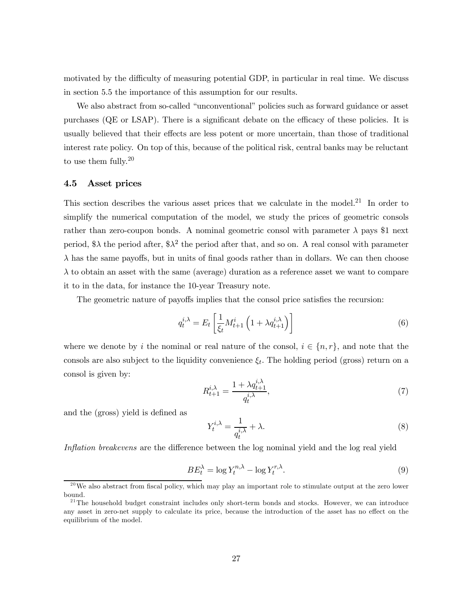motivated by the difficulty of measuring potential GDP, in particular in real time. We discuss in section 5.5 the importance of this assumption for our results.

We also abstract from so-called "unconventional" policies such as forward guidance or asset purchases (QE or LSAP). There is a significant debate on the efficacy of these policies. It is usually believed that their effects are less potent or more uncertain, than those of traditional interest rate policy. On top of this, because of the political risk, central banks may be reluctant to use them fully.<sup>20</sup>

#### 4.5 Asset prices

This section describes the various asset prices that we calculate in the model.<sup>21</sup> In order to simplify the numerical computation of the model, we study the prices of geometric consols rather than zero-coupon bonds. A nominal geometric consol with parameter  $\lambda$  pays \$1 next period,  $\lambda$  the period after,  $\lambda^2$  the period after that, and so on. A real consol with parameter  $\lambda$  has the same payoffs, but in units of final goods rather than in dollars. We can then choose  $\lambda$  to obtain an asset with the same (average) duration as a reference asset we want to compare it to in the data, for instance the 10-year Treasury note.

The geometric nature of payoffs implies that the consol price satisfies the recursion:

$$
q_t^{i,\lambda} = E_t \left[ \frac{1}{\xi_t} M_{t+1}^i \left( 1 + \lambda q_{t+1}^{i,\lambda} \right) \right] \tag{6}
$$

where we denote by *i* the nominal or real nature of the consol,  $i \in \{n, r\}$ , and note that the consols are also subject to the liquidity convenience  $\xi_t$ . The holding period (gross) return on a consol is given by:

$$
R_{t+1}^{i,\lambda} = \frac{1 + \lambda q_{t+1}^{i,\lambda}}{q_t^{i,\lambda}},\tag{7}
$$

and the (gross) yield is defined as

$$
Y_t^{i,\lambda} = \frac{1}{q_t^{i,\lambda}} + \lambda.
$$
\n(8)

Inflation breakevens are the difference between the log nominal yield and the log real yield

$$
BE_t^{\lambda} = \log Y_t^{n,\lambda} - \log Y_t^{r,\lambda}.
$$
\n(9)

<sup>&</sup>lt;sup>20</sup>We also abstract from fiscal policy, which may play an important role to stimulate output at the zero lower bound.

 $21$ The household budget constraint includes only short-term bonds and stocks. However, we can introduce any asset in zero-net supply to calculate its price, because the introduction of the asset has no effect on the equilibrium of the model.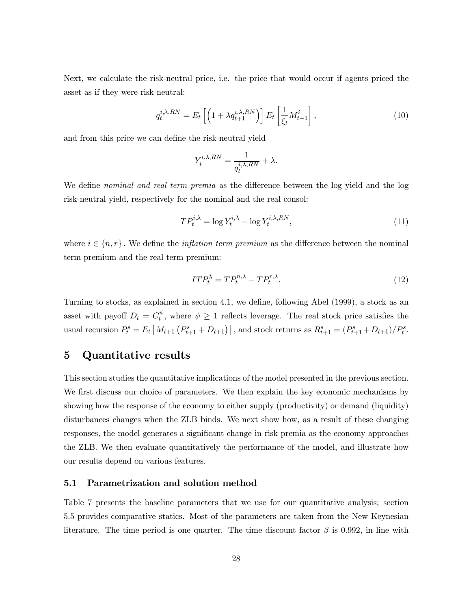Next, we calculate the risk-neutral price, i.e. the price that would occur if agents priced the asset as if they were risk-neutral:

$$
q_t^{i,\lambda, RN} = E_t \left[ \left( 1 + \lambda q_{t+1}^{i,\lambda, RN} \right) \right] E_t \left[ \frac{1}{\xi_t} M_{t+1}^i \right], \tag{10}
$$

and from this price we can define the risk-neutral yield

$$
Y_t^{i,\lambda, RN} = \frac{1}{q_t^{i,\lambda, RN}} + \lambda.
$$

We define *nominal and real term premia* as the difference between the log yield and the log risk-neutral yield, respectively for the nominal and the real consol:

$$
TP_t^{i,\lambda} = \log Y_t^{i,\lambda} - \log Y_t^{i,\lambda, RN},\tag{11}
$$

where  $i \in \{n, r\}$ . We define the *inflation term premium* as the difference between the nominal term premium and the real term premium:

$$
ITP_t^{\lambda} = TP_t^{n,\lambda} - TP_t^{r,\lambda}.
$$
\n<sup>(12)</sup>

Turning to stocks, as explained in section 4.1, we define, following Abel (1999), a stock as an asset with payoff  $D_t = C_t^{\psi}$ , where  $\psi \ge 1$  reflects leverage. The real stock price satisfies the usual recursion  $P_t^s = E_t \left[ M_{t+1} \left( P_{t+1}^s + D_{t+1} \right) \right]$ , and stock returns as  $R_{t+1}^s = (P_{t+1}^s + D_{t+1})/P_t^s$ .

## 5 Quantitative results

This section studies the quantitative implications of the model presented in the previous section. We first discuss our choice of parameters. We then explain the key economic mechanisms by showing how the response of the economy to either supply (productivity) or demand (liquidity) disturbances changes when the ZLB binds. We next show how, as a result of these changing responses, the model generates a significant change in risk premia as the economy approaches the ZLB. We then evaluate quantitatively the performance of the model, and illustrate how our results depend on various features.

#### 5.1 Parametrization and solution method

Table 7 presents the baseline parameters that we use for our quantitative analysis; section 5.5 provides comparative statics. Most of the parameters are taken from the New Keynesian literature. The time period is one quarter. The time discount factor  $\beta$  is 0.992, in line with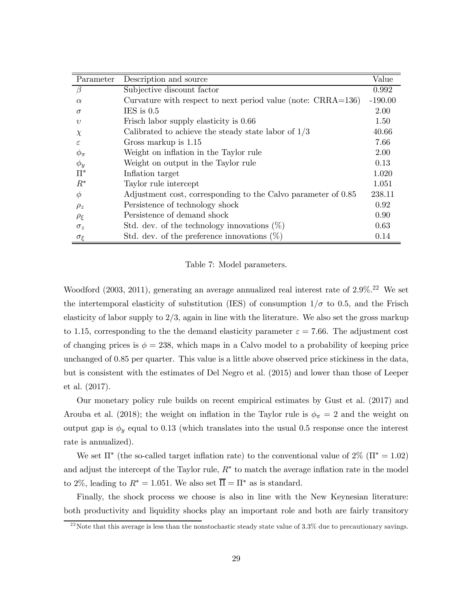| Parameter            | Description and source                                          | Value     |
|----------------------|-----------------------------------------------------------------|-----------|
| $\beta$              | Subjective discount factor                                      | 0.992     |
| $\alpha$             | Curvature with respect to next period value (note: $CRRA=136$ ) | $-190.00$ |
| $\sigma$             | IES is $0.5$                                                    | 2.00      |
| $\boldsymbol{v}$     | Frisch labor supply elasticity is 0.66                          | 1.50      |
| $\chi$               | Calibrated to achieve the steady state labor of $1/3$           | 40.66     |
| $\epsilon$           | Gross markup is 1.15                                            | 7.66      |
| $\phi_{\pi}$         | Weight on inflation in the Taylor rule                          | 2.00      |
| $\phi_y$             | Weight on output in the Taylor rule                             | 0.13      |
| $\Pi^*$              | Inflation target                                                | 1.020     |
| $R^*$                | Taylor rule intercept                                           | 1.051     |
| $\phi$               | Adjustment cost, corresponding to the Calvo parameter of 0.85   | 238.11    |
| $\rho_z$             | Persistence of technology shock                                 | 0.92      |
| $\rho_{\mathcal{E}}$ | Persistence of demand shock                                     | 0.90      |
| $\sigma_z$           | Std. dev. of the technology innovations $(\%)$                  | 0.63      |
| $\sigma_{\xi}$       | Std. dev. of the preference innovations $(\%)$                  | 0.14      |

Table 7: Model parameters.

Woodford  $(2003, 2011)$ , generating an average annualized real interest rate of  $2.9\%$ <sup>22</sup> We set the intertemporal elasticity of substitution (IES) of consumption  $1/\sigma$  to 0.5, and the Frisch elasticity of labor supply to  $2/3$ , again in line with the literature. We also set the gross markup to 1.15, corresponding to the the demand elasticity parameter  $\varepsilon = 7.66$ . The adjustment cost of changing prices is  $\phi = 238$ , which maps in a Calvo model to a probability of keeping price unchanged of 085 per quarter. This value is a little above observed price stickiness in the data, but is consistent with the estimates of Del Negro et al. (2015) and lower than those of Leeper et al. (2017).

Our monetary policy rule builds on recent empirical estimates by Gust et al. (2017) and Arouba et al. (2018); the weight on inflation in the Taylor rule is  $\phi_{\pi} = 2$  and the weight on output gap is  $\phi_y$  equal to 0.13 (which translates into the usual 0.5 response once the interest rate is annualized).

We set  $\Pi^*$  (the so-called target inflation rate) to the conventional value of 2% ( $\Pi^* = 1.02$ ) and adjust the intercept of the Taylor rule,  $R^*$  to match the average inflation rate in the model to 2%, leading to  $R^* = 1.051$ . We also set  $\overline{\Pi} = \Pi^*$  as is standard.

Finally, the shock process we choose is also in line with the New Keynesian literature: both productivity and liquidity shocks play an important role and both are fairly transitory

<sup>&</sup>lt;sup>22</sup> Note that this average is less than the nonstochastic steady state value of  $3.3\%$  due to precautionary savings.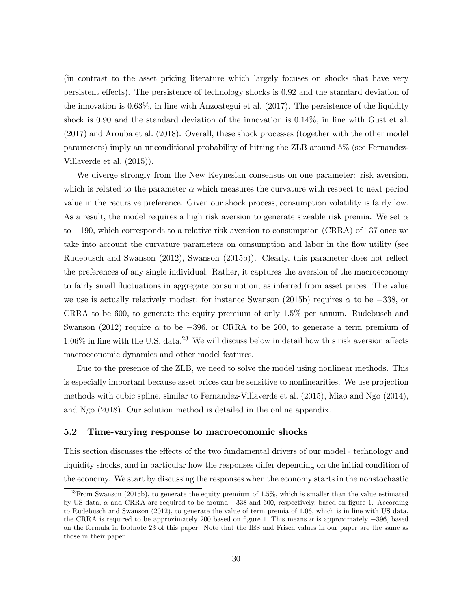(in contrast to the asset pricing literature which largely focuses on shocks that have very persistent effects). The persistence of technology shocks is 092 and the standard deviation of the innovation is 063%, in line with Anzoategui et al. (2017). The persistence of the liquidity shock is 0.90 and the standard deviation of the innovation is  $0.14\%$ , in line with Gust et al. (2017) and Arouba et al. (2018). Overall, these shock processes (together with the other model parameters) imply an unconditional probability of hitting the ZLB around 5% (see Fernandez-Villaverde et al. (2015)).

We diverge strongly from the New Keynesian consensus on one parameter: risk aversion, which is related to the parameter  $\alpha$  which measures the curvature with respect to next period value in the recursive preference. Given our shock process, consumption volatility is fairly low. As a result, the model requires a high risk aversion to generate sizeable risk premia. We set  $\alpha$ to −190, which corresponds to a relative risk aversion to consumption (CRRA) of 137 once we take into account the curvature parameters on consumption and labor in the flow utility (see Rudebusch and Swanson (2012), Swanson (2015b)). Clearly, this parameter does not reflect the preferences of any single individual. Rather, it captures the aversion of the macroeconomy to fairly small fluctuations in aggregate consumption, as inferred from asset prices. The value we use is actually relatively modest; for instance Swanson (2015b) requires  $\alpha$  to be −338, or CRRA to be 600, to generate the equity premium of only 15% per annum. Rudebusch and Swanson (2012) require  $\alpha$  to be −396, or CRRA to be 200, to generate a term premium of  $1.06\%$  in line with the U.S. data.<sup>23</sup> We will discuss below in detail how this risk aversion affects macroeconomic dynamics and other model features.

Due to the presence of the ZLB, we need to solve the model using nonlinear methods. This is especially important because asset prices can be sensitive to nonlinearities. We use projection methods with cubic spline, similar to Fernandez-Villaverde et al. (2015), Miao and Ngo (2014), and Ngo (2018). Our solution method is detailed in the online appendix.

#### 5.2 Time-varying response to macroeconomic shocks

This section discusses the effects of the two fundamental drivers of our model - technology and liquidity shocks, and in particular how the responses differ depending on the initial condition of the economy. We start by discussing the responses when the economy starts in the nonstochastic

<sup>&</sup>lt;sup>23</sup> From Swanson (2015b), to generate the equity premium of 1.5%, which is smaller than the value estimated by US data, and CRRA are required to be around −338 and 600, respectively, based on figure 1. According to Rudebusch and Swanson (2012), to generate the value of term premia of 106 which is in line with US data, the CRRA is required to be approximately 200 based on figure 1. This means  $\alpha$  is approximately  $-396$ , based on the formula in footnote 23 of this paper. Note that the IES and Frisch values in our paper are the same as those in their paper.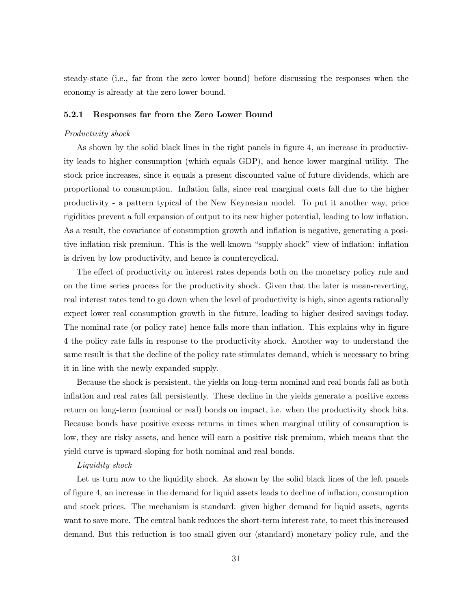steady-state (i.e., far from the zero lower bound) before discussing the responses when the economy is already at the zero lower bound.

#### 5.2.1 Responses far from the Zero Lower Bound

#### Productivity shock

As shown by the solid black lines in the right panels in figure 4, an increase in productivity leads to higher consumption (which equals GDP), and hence lower marginal utility. The stock price increases, since it equals a present discounted value of future dividends, which are proportional to consumption. Inflation falls, since real marginal costs fall due to the higher productivity - a pattern typical of the New Keynesian model. To put it another way, price rigidities prevent a full expansion of output to its new higher potential, leading to low inflation. As a result, the covariance of consumption growth and inflation is negative, generating a positive inflation risk premium. This is the well-known "supply shock" view of inflation: inflation is driven by low productivity, and hence is countercyclical.

The effect of productivity on interest rates depends both on the monetary policy rule and on the time series process for the productivity shock. Given that the later is mean-reverting, real interest rates tend to go down when the level of productivity is high, since agents rationally expect lower real consumption growth in the future, leading to higher desired savings today. The nominal rate (or policy rate) hence falls more than inflation. This explains why in figure 4 the policy rate falls in response to the productivity shock. Another way to understand the same result is that the decline of the policy rate stimulates demand, which is necessary to bring it in line with the newly expanded supply.

Because the shock is persistent, the yields on long-term nominal and real bonds fall as both inflation and real rates fall persistently. These decline in the yields generate a positive excess return on long-term (nominal or real) bonds on impact, i.e. when the productivity shock hits. Because bonds have positive excess returns in times when marginal utility of consumption is low, they are risky assets, and hence will earn a positive risk premium, which means that the yield curve is upward-sloping for both nominal and real bonds.

#### Liquidity shock

Let us turn now to the liquidity shock. As shown by the solid black lines of the left panels of figure 4, an increase in the demand for liquid assets leads to decline of inflation, consumption and stock prices. The mechanism is standard: given higher demand for liquid assets, agents want to save more. The central bank reduces the short-term interest rate, to meet this increased demand. But this reduction is too small given our (standard) monetary policy rule, and the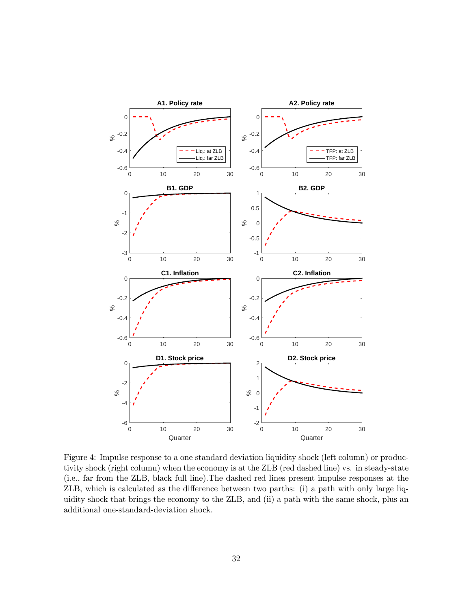

Figure 4: Impulse response to a one standard deviation liquidity shock (left column) or productivity shock (right column) when the economy is at the ZLB (red dashed line) vs. in steady-state (i.e., far from the ZLB, black full line).The dashed red lines present impulse responses at the ZLB, which is calculated as the difference between two parths: (i) a path with only large liquidity shock that brings the economy to the ZLB, and (ii) a path with the same shock, plus an additional one-standard-deviation shock.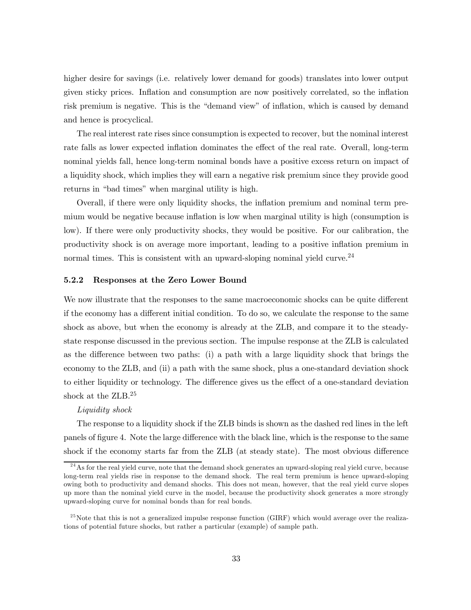higher desire for savings (i.e. relatively lower demand for goods) translates into lower output given sticky prices. Inflation and consumption are now positively correlated, so the inflation risk premium is negative. This is the "demand view" of inflation, which is caused by demand and hence is procyclical.

The real interest rate rises since consumption is expected to recover, but the nominal interest rate falls as lower expected inflation dominates the effect of the real rate. Overall, long-term nominal yields fall, hence long-term nominal bonds have a positive excess return on impact of a liquidity shock, which implies they will earn a negative risk premium since they provide good returns in "bad times" when marginal utility is high.

Overall, if there were only liquidity shocks, the inflation premium and nominal term premium would be negative because inflation is low when marginal utility is high (consumption is low). If there were only productivity shocks, they would be positive. For our calibration, the productivity shock is on average more important, leading to a positive inflation premium in normal times. This is consistent with an upward-sloping nominal yield curve.<sup>24</sup>

#### 5.2.2 Responses at the Zero Lower Bound

We now illustrate that the responses to the same macroeconomic shocks can be quite different if the economy has a different initial condition. To do so, we calculate the response to the same shock as above, but when the economy is already at the ZLB, and compare it to the steadystate response discussed in the previous section. The impulse response at the ZLB is calculated as the difference between two paths: (i) a path with a large liquidity shock that brings the economy to the ZLB, and (ii) a path with the same shock, plus a one-standard deviation shock to either liquidity or technology. The difference gives us the effect of a one-standard deviation shock at the ZLB.<sup>25</sup>

#### Liquidity shock

The response to a liquidity shock if the ZLB binds is shown as the dashed red lines in the left panels of figure 4. Note the large difference with the black line, which is the response to the same shock if the economy starts far from the ZLB (at steady state). The most obvious difference

 $24$ As for the real yield curve, note that the demand shock generates an upward-sloping real yield curve, because long-term real yields rise in response to the demand shock. The real term premium is hence upward-sloping owing both to productivity and demand shocks. This does not mean, however, that the real yield curve slopes up more than the nominal yield curve in the model, because the productivity shock generates a more strongly upward-sloping curve for nominal bonds than for real bonds.

 $^{25}$  Note that this is not a generalized impulse response function (GIRF) which would average over the realizations of potential future shocks, but rather a particular (example) of sample path.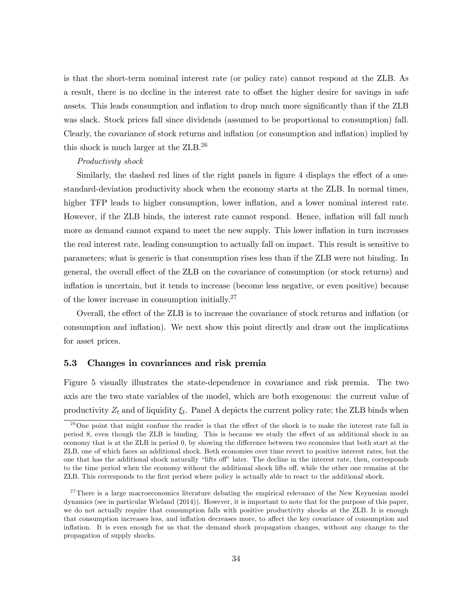is that the short-term nominal interest rate (or policy rate) cannot respond at the ZLB. As a result, there is no decline in the interest rate to offset the higher desire for savings in safe assets. This leads consumption and inflation to drop much more significantly than if the ZLB was slack. Stock prices fall since dividends (assumed to be proportional to consumption) fall. Clearly, the covariance of stock returns and inflation (or consumption and inflation) implied by this shock is much larger at the ZLB.26

#### Productivity shock

Similarly, the dashed red lines of the right panels in figure 4 displays the effect of a onestandard-deviation productivity shock when the economy starts at the ZLB. In normal times, higher TFP leads to higher consumption, lower inflation, and a lower nominal interest rate. However, if the ZLB binds, the interest rate cannot respond. Hence, inflation will fall much more as demand cannot expand to meet the new supply. This lower inflation in turn increases the real interest rate, leading consumption to actually fall on impact. This result is sensitive to parameters; what is generic is that consumption rises less than if the ZLB were not binding. In general, the overall effect of the ZLB on the covariance of consumption (or stock returns) and inflation is uncertain, but it tends to increase (become less negative, or even positive) because of the lower increase in consumption initially.27

Overall, the effect of the ZLB is to increase the covariance of stock returns and inflation (or consumption and inflation). We next show this point directly and draw out the implications for asset prices.

#### 5.3 Changes in covariances and risk premia

Figure 5 visually illustrates the state-dependence in covariance and risk premia. The two axis are the two state variables of the model, which are both exogenous: the current value of productivity  $Z_t$  and of liquidity  $\xi_t$ . Panel A depicts the current policy rate; the ZLB binds when

 $2<sup>6</sup>$  One point that might confuse the reader is that the effect of the shock is to make the interest rate fall in period 8, even though the ZLB is binding. This is because we study the effect of an additional shock in an economy that is at the ZLB in period 0, by showing the difference between two economies that both start at the ZLB, one of which faces an additional shock. Both economies over time revert to positive interest rates, but the one that has the additional shock naturally "lifts off" later. The decline in the interest rate, then, corresponds to the time period when the economy without the additional shock lifts off, while the other one remains at the ZLB. This corresponds to the first period where policy is actually able to react to the additional shock.

 $27$ There is a large macroeconomics literature debating the empirical relevance of the New Keynesian model dynamics (see in particular Wieland (2014)). However, it is important to note that for the purpose of this paper, we do not actually require that consumption falls with positive productivity shocks at the ZLB. It is enough that consumption increases less, and inflation decreases more, to affect the key covariance of consumption and inflation. It is even enough for us that the demand shock propagation changes, without any change to the propagation of supply shocks.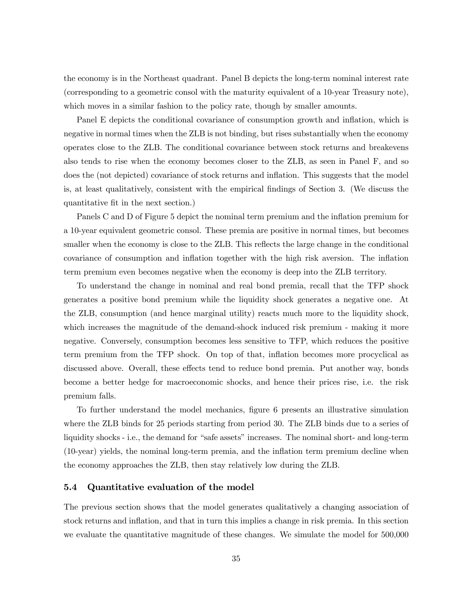the economy is in the Northeast quadrant. Panel B depicts the long-term nominal interest rate (corresponding to a geometric consol with the maturity equivalent of a 10-year Treasury note), which moves in a similar fashion to the policy rate, though by smaller amounts.

Panel E depicts the conditional covariance of consumption growth and inflation, which is negative in normal times when the ZLB is not binding, but rises substantially when the economy operates close to the ZLB. The conditional covariance between stock returns and breakevens also tends to rise when the economy becomes closer to the ZLB, as seen in Panel F, and so does the (not depicted) covariance of stock returns and inflation. This suggests that the model is, at least qualitatively, consistent with the empirical findings of Section 3. (We discuss the quantitative fit in the next section.)

Panels C and D of Figure 5 depict the nominal term premium and the inflation premium for a 10-year equivalent geometric consol. These premia are positive in normal times, but becomes smaller when the economy is close to the ZLB. This reflects the large change in the conditional covariance of consumption and inflation together with the high risk aversion. The inflation term premium even becomes negative when the economy is deep into the ZLB territory.

To understand the change in nominal and real bond premia, recall that the TFP shock generates a positive bond premium while the liquidity shock generates a negative one. At the ZLB, consumption (and hence marginal utility) reacts much more to the liquidity shock, which increases the magnitude of the demand-shock induced risk premium - making it more negative. Conversely, consumption becomes less sensitive to TFP, which reduces the positive term premium from the TFP shock. On top of that, inflation becomes more procyclical as discussed above. Overall, these effects tend to reduce bond premia. Put another way, bonds become a better hedge for macroeconomic shocks, and hence their prices rise, i.e. the risk premium falls.

To further understand the model mechanics, figure 6 presents an illustrative simulation where the ZLB binds for 25 periods starting from period 30. The ZLB binds due to a series of liquidity shocks - i.e., the demand for "safe assets" increases. The nominal short- and long-term (10-year) yields, the nominal long-term premia, and the inflation term premium decline when the economy approaches the ZLB, then stay relatively low during the ZLB.

#### 5.4 Quantitative evaluation of the model

The previous section shows that the model generates qualitatively a changing association of stock returns and inflation, and that in turn this implies a change in risk premia. In this section we evaluate the quantitative magnitude of these changes. We simulate the model for 500,000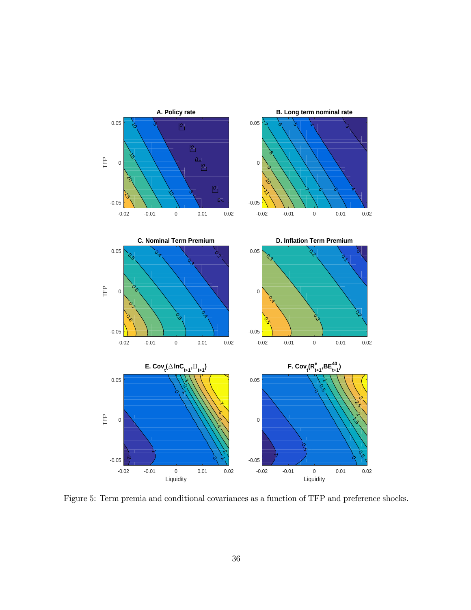

Figure 5: Term premia and conditional covariances as a function of TFP and preference shocks.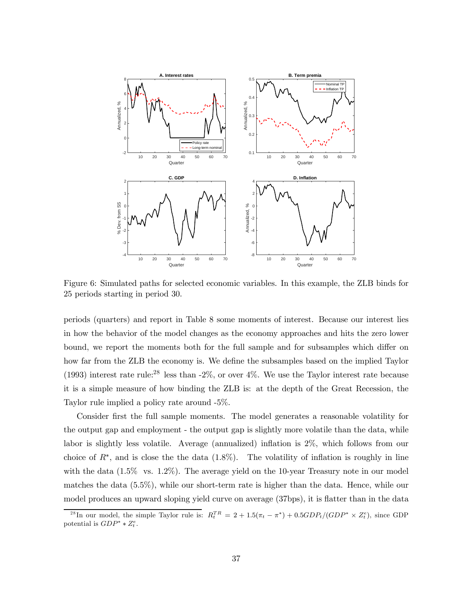

Figure 6: Simulated paths for selected economic variables. In this example, the ZLB binds for 25 periods starting in period 30.

periods (quarters) and report in Table 8 some moments of interest. Because our interest lies in how the behavior of the model changes as the economy approaches and hits the zero lower bound, we report the moments both for the full sample and for subsamples which differ on how far from the ZLB the economy is. We define the subsamples based on the implied Taylor (1993) interest rate rule:<sup>28</sup> less than  $-2\%$ , or over  $4\%$ . We use the Taylor interest rate because it is a simple measure of how binding the ZLB is: at the depth of the Great Recession, the Taylor rule implied a policy rate around -5%.

Consider first the full sample moments. The model generates a reasonable volatility for the output gap and employment - the output gap is slightly more volatile than the data, while labor is slightly less volatile. Average (annualized) inflation is 2%, which follows from our choice of  $R^*$ , and is close the the data (1.8%). The volatility of inflation is roughly in line with the data  $(1.5\%$  vs.  $1.2\%)$ . The average yield on the 10-year Treasury note in our model matches the data (5.5%), while our short-term rate is higher than the data. Hence, while our model produces an upward sloping yield curve on average (37bps), it is flatter than in the data

<sup>&</sup>lt;sup>28</sup>In our model, the simple Taylor rule is:  $R_t^{TR} = 2 + 1.5(\pi_t - \pi^*) + 0.5GDP_t/(GDP^* \times Z_t^e)$ , since GDP potential is  $GDP^* * Z_t^e$ .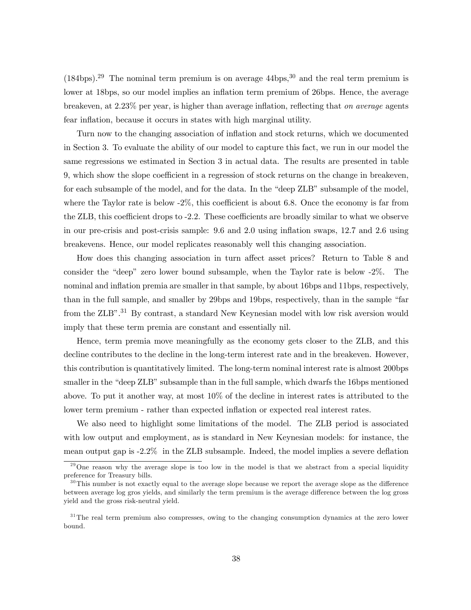$(184bps).^{29}$  The nominal term premium is on average  $44bps.^{30}$  and the real term premium is lower at 18bps, so our model implies an inflation term premium of 26bps. Hence, the average breakeven, at 2.23% per year, is higher than average inflation, reflecting that on average agents fear inflation, because it occurs in states with high marginal utility.

Turn now to the changing association of inflation and stock returns, which we documented in Section 3. To evaluate the ability of our model to capture this fact, we run in our model the same regressions we estimated in Section 3 in actual data. The results are presented in table 9, which show the slope coefficient in a regression of stock returns on the change in breakeven, for each subsample of the model, and for the data. In the "deep ZLB" subsample of the model, where the Taylor rate is below -2%, this coefficient is about 6.8. Once the economy is far from the ZLB, this coefficient drops to -2.2. These coefficients are broadly similar to what we observe in our pre-crisis and post-crisis sample: 9.6 and 2.0 using inflation swaps, 12.7 and 2.6 using breakevens. Hence, our model replicates reasonably well this changing association.

How does this changing association in turn affect asset prices? Return to Table 8 and consider the "deep" zero lower bound subsample, when the Taylor rate is below -2%. The nominal and inflation premia are smaller in that sample, by about 16bps and 11bps, respectively, than in the full sample, and smaller by 29bps and 19bps, respectively, than in the sample "far from the ZLB".<sup>31</sup> By contrast, a standard New Keynesian model with low risk aversion would imply that these term premia are constant and essentially nil.

Hence, term premia move meaningfully as the economy gets closer to the ZLB, and this decline contributes to the decline in the long-term interest rate and in the breakeven. However, this contribution is quantitatively limited. The long-term nominal interest rate is almost 200bps smaller in the "deep ZLB" subsample than in the full sample, which dwarfs the 16bps mentioned above. To put it another way, at most 10% of the decline in interest rates is attributed to the lower term premium - rather than expected inflation or expected real interest rates.

We also need to highlight some limitations of the model. The ZLB period is associated with low output and employment, as is standard in New Keynesian models: for instance, the mean output gap is -2.2% in the ZLB subsample. Indeed, the model implies a severe deflation

 $^{29}$ One reason why the average slope is too low in the model is that we abstract from a special liquidity preference for Treasury bills.

 $30$ This number is not exactly equal to the average slope because we report the average slope as the difference between average log gros yields, and similarly the term premium is the average difference between the log gross yield and the gross risk-neutral yield.

<sup>&</sup>lt;sup>31</sup>The real term premium also compresses, owing to the changing consumption dynamics at the zero lower bound.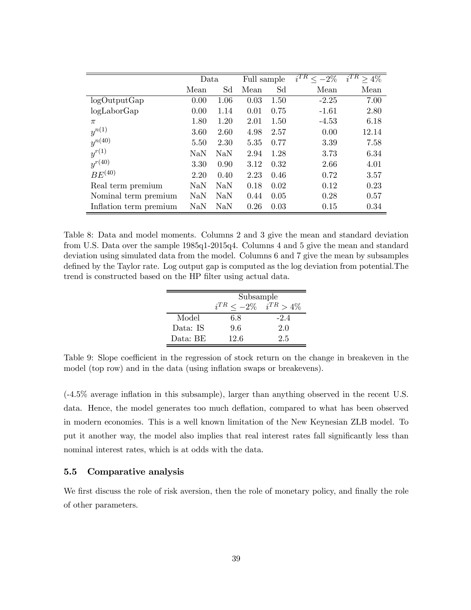|                        | Data |      | Full sample |      | $i^{TR} <$<br>$-2\%$ | $i^{TR} > 4\%$ |
|------------------------|------|------|-------------|------|----------------------|----------------|
|                        | Mean | Sd   | Mean        | Sd   | Mean                 | Mean           |
| logOutputGap           | 0.00 | 1.06 | 0.03        | 1.50 | $-2.25$              | 7.00           |
| $log$ Labor $Gap$      | 0.00 | 1.14 | 0.01        | 0.75 | $-1.61$              | 2.80           |
| $\pi$                  | 1.80 | 1.20 | 2.01        | 1.50 | $-4.53$              | 6.18           |
| $y^{n(1)}$             | 3.60 | 2.60 | 4.98        | 2.57 | 0.00                 | 12.14          |
| $y^{n(40)}$            | 5.50 | 2.30 | 5.35        | 0.77 | 3.39                 | 7.58           |
| $y^{r(1)}$             | NaN  | NaN  | 2.94        | 1.28 | 3.73                 | 6.34           |
| $y^{r(40)}$            | 3.30 | 0.90 | 3.12        | 0.32 | 2.66                 | 4.01           |
| $BE^{(40)}$            | 2.20 | 0.40 | 2.23        | 0.46 | 0.72                 | 3.57           |
| Real term premium      | NaN  | NaN  | 0.18        | 0.02 | 0.12                 | 0.23           |
| Nominal term premium   | NaN  | NaN  | 0.44        | 0.05 | 0.28                 | 0.57           |
| Inflation term premium | NaN  | NaN  | 0.26        | 0.03 | 0.15                 | 0.34           |

Table 8: Data and model moments. Columns 2 and 3 give the mean and standard deviation from U.S. Data over the sample 1985q1-2015q4. Columns 4 and 5 give the mean and standard deviation using simulated data from the model. Columns 6 and 7 give the mean by subsamples defined by the Taylor rate. Log output gap is computed as the log deviation from potential.The trend is constructed based on the HP filter using actual data.

|          | Subsample     |                |  |  |  |  |  |
|----------|---------------|----------------|--|--|--|--|--|
|          | $i^{TR}<-2\%$ | $i^{TR} > 4\%$ |  |  |  |  |  |
| Model    | 6.8           | $-2.4$         |  |  |  |  |  |
| Data: IS | 9.6           | 2.0            |  |  |  |  |  |
| Data: BE | 12.6          | 2.5            |  |  |  |  |  |

Table 9: Slope coefficient in the regression of stock return on the change in breakeven in the model (top row) and in the data (using inflation swaps or breakevens).

(-4.5% average inflation in this subsample), larger than anything observed in the recent U.S. data. Hence, the model generates too much deflation, compared to what has been observed in modern economies. This is a well known limitation of the New Keynesian ZLB model. To put it another way, the model also implies that real interest rates fall significantly less than nominal interest rates, which is at odds with the data.

#### 5.5 Comparative analysis

We first discuss the role of risk aversion, then the role of monetary policy, and finally the role of other parameters.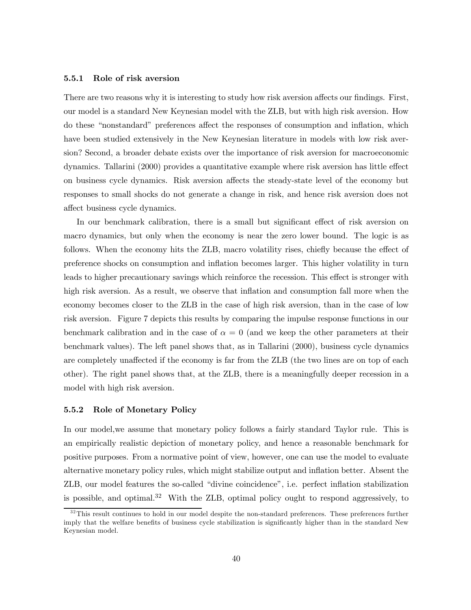#### 5.5.1 Role of risk aversion

There are two reasons why it is interesting to study how risk aversion affects our findings. First, our model is a standard New Keynesian model with the ZLB, but with high risk aversion. How do these "nonstandard" preferences affect the responses of consumption and inflation, which have been studied extensively in the New Keynesian literature in models with low risk aversion? Second, a broader debate exists over the importance of risk aversion for macroeconomic dynamics. Tallarini (2000) provides a quantitative example where risk aversion has little effect on business cycle dynamics. Risk aversion affects the steady-state level of the economy but responses to small shocks do not generate a change in risk, and hence risk aversion does not affect business cycle dynamics.

In our benchmark calibration, there is a small but significant effect of risk aversion on macro dynamics, but only when the economy is near the zero lower bound. The logic is as follows. When the economy hits the ZLB, macro volatility rises, chiefly because the effect of preference shocks on consumption and inflation becomes larger. This higher volatility in turn leads to higher precautionary savings which reinforce the recession. This effect is stronger with high risk aversion. As a result, we observe that inflation and consumption fall more when the economy becomes closer to the ZLB in the case of high risk aversion, than in the case of low risk aversion. Figure 7 depicts this results by comparing the impulse response functions in our benchmark calibration and in the case of  $\alpha = 0$  (and we keep the other parameters at their benchmark values). The left panel shows that, as in Tallarini (2000), business cycle dynamics are completely unaffected if the economy is far from the ZLB (the two lines are on top of each other). The right panel shows that, at the ZLB, there is a meaningfully deeper recession in a model with high risk aversion.

#### 5.5.2 Role of Monetary Policy

In our model,we assume that monetary policy follows a fairly standard Taylor rule. This is an empirically realistic depiction of monetary policy, and hence a reasonable benchmark for positive purposes. From a normative point of view, however, one can use the model to evaluate alternative monetary policy rules, which might stabilize output and inflation better. Absent the ZLB, our model features the so-called "divine coincidence", i.e. perfect inflation stabilization is possible, and optimal.32 With the ZLB, optimal policy ought to respond aggressively, to

<sup>&</sup>lt;sup>32</sup>This result continues to hold in our model despite the non-standard preferences. These preferences further imply that the welfare benefits of business cycle stabilization is significantly higher than in the standard New Keynesian model.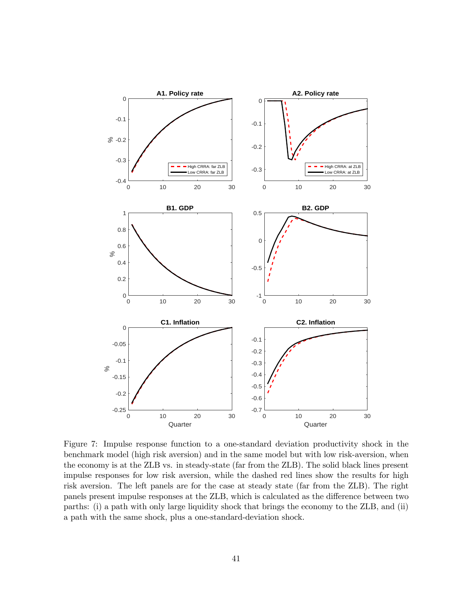

Figure 7: Impulse response function to a one-standard deviation productivity shock in the benchmark model (high risk aversion) and in the same model but with low risk-aversion, when the economy is at the ZLB vs. in steady-state (far from the ZLB). The solid black lines present impulse responses for low risk aversion, while the dashed red lines show the results for high risk aversion. The left panels are for the case at steady state (far from the ZLB). The right panels present impulse responses at the ZLB, which is calculated as the difference between two parths: (i) a path with only large liquidity shock that brings the economy to the ZLB, and (ii) a path with the same shock, plus a one-standard-deviation shock.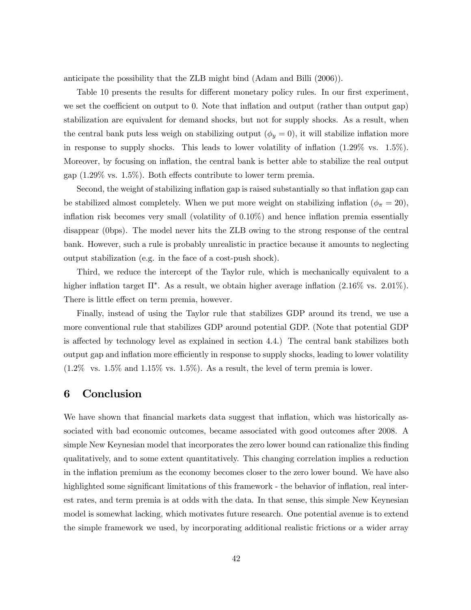anticipate the possibility that the ZLB might bind (Adam and Billi (2006)).

Table 10 presents the results for different monetary policy rules. In our first experiment, we set the coefficient on output to 0. Note that inflation and output (rather than output gap) stabilization are equivalent for demand shocks, but not for supply shocks. As a result, when the central bank puts less weigh on stabilizing output  $(\phi_y = 0)$ , it will stabilize inflation more in response to supply shocks. This leads to lower volatility of inflation  $(1.29\% \text{ vs. } 1.5\%)$ . Moreover, by focusing on inflation, the central bank is better able to stabilize the real output gap (1.29% vs. 1.5%). Both effects contribute to lower term premia.

Second, the weight of stabilizing inflation gap is raised substantially so that inflation gap can be stabilized almost completely. When we put more weight on stabilizing inflation ( $\phi_{\pi} = 20$ ), inflation risk becomes very small (volatility of 0.10%) and hence inflation premia essentially disappear (0bps). The model never hits the ZLB owing to the strong response of the central bank. However, such a rule is probably unrealistic in practice because it amounts to neglecting output stabilization (e.g. in the face of a cost-push shock).

Third, we reduce the intercept of the Taylor rule, which is mechanically equivalent to a higher inflation target  $\Pi^*$ . As a result, we obtain higher average inflation  $(2.16\% \text{ vs. } 2.01\%)$ . There is little effect on term premia, however.

Finally, instead of using the Taylor rule that stabilizes GDP around its trend, we use a more conventional rule that stabilizes GDP around potential GDP. (Note that potential GDP is affected by technology level as explained in section 4.4.) The central bank stabilizes both output gap and inflation more efficiently in response to supply shocks, leading to lower volatility  $(1.2\% \text{ vs. } 1.5\% \text{ and } 1.15\% \text{ vs. } 1.5\%).$  As a result, the level of term premia is lower.

## 6 Conclusion

We have shown that financial markets data suggest that inflation, which was historically associated with bad economic outcomes, became associated with good outcomes after 2008. A simple New Keynesian model that incorporates the zero lower bound can rationalize this finding qualitatively, and to some extent quantitatively. This changing correlation implies a reduction in the inflation premium as the economy becomes closer to the zero lower bound. We have also highlighted some significant limitations of this framework - the behavior of inflation, real interest rates, and term premia is at odds with the data. In that sense, this simple New Keynesian model is somewhat lacking, which motivates future research. One potential avenue is to extend the simple framework we used, by incorporating additional realistic frictions or a wider array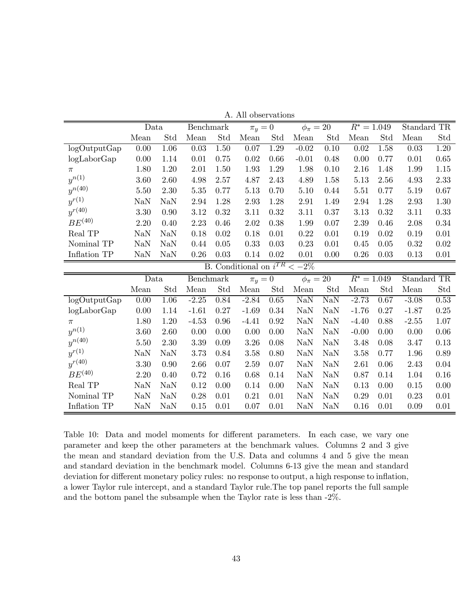|                          | Data       |                      | Benchmark |      | $\pi_y=0$               |                              | $\phi_{\pi}=20$ |                      | $R^* = 1.049$ |             | Standard TR |          |
|--------------------------|------------|----------------------|-----------|------|-------------------------|------------------------------|-----------------|----------------------|---------------|-------------|-------------|----------|
|                          | Mean       | $\operatorname{Std}$ | Mean      | Std  | Mean                    | Std                          | Mean            | $\operatorname{Std}$ | Mean          | Std         | Mean        | Std      |
| logOutputGap             | 0.00       | 1.06                 | 0.03      | 1.50 | 0.07                    | 1.29                         | $-0.02$         | 0.10                 | 0.02          | 1.58        | 0.03        | 1.20     |
| logLaborGap              | 0.00       | 1.14                 | 0.01      | 0.75 | 0.02                    | 0.66                         | $-0.01$         | 0.48                 | 0.00          | 0.77        | 0.01        | 0.65     |
| $\pi$                    | 1.80       | 1.20                 | 2.01      | 1.50 | 1.93                    | 1.29                         | 1.98            | 0.10                 | 2.16          | 1.48        | 1.99        | 1.15     |
| $\boldsymbol{y}^{n(1)}$  | 3.60       | 2.60                 | 4.98      | 2.57 | 4.87                    | 2.43                         | 4.89            | 1.58                 | 5.13          | 2.56        | 4.93        | 2.33     |
| $y^{n(40)}$              | 5.50       | 2.30                 | $5.35\,$  | 0.77 | 5.13                    | 0.70                         | 5.10            | 0.44                 | 5.51          | 0.77        | 5.19        | 0.67     |
| $y^{r(1)}$               | NaN        | NaN                  | 2.94      | 1.28 | 2.93                    | 1.28                         | 2.91            | 1.49                 | 2.94          | 1.28        | 2.93        | 1.30     |
| $y^{r(40)}$              | 3.30       | 0.90                 | 3.12      | 0.32 | 3.11                    | 0.32                         | 3.11            | 0.37                 | 3.13          | 0.32        | 3.11        | 0.33     |
| $BE^{\left( 40\right) }$ | 2.20       | 0.40                 | 2.23      | 0.46 | 2.02                    | 0.38                         | 1.99            | 0.07                 | 2.39          | 0.46        | 2.08        | 0.34     |
| Real TP                  | <b>NaN</b> | <b>NaN</b>           | 0.18      | 0.02 | 0.18                    | 0.01                         | 0.22            | 0.01                 | 0.19          | 0.02        | 0.19        | 0.01     |
| Nominal TP               | NaN        | <b>NaN</b>           | 0.44      | 0.05 | 0.33                    | 0.03                         | 0.23            | 0.01                 | 0.45          | 0.05        | 0.32        | 0.02     |
| Inflation TP             | <b>NaN</b> | <b>NaN</b>           | 0.26      | 0.03 | 0.14                    | 0.02                         | 0.01            | 0.00                 | 0.26          | 0.03        | 0.13        | 0.01     |
|                          |            |                      | <b>B.</b> |      | Conditional on $i^{TR}$ |                              | $<-2\%$         |                      |               |             |             |          |
|                          | Data       |                      | Benchmark |      |                         | $\phi_{\pi}=20$<br>$\pi_y=0$ |                 | $R^* = 1.049$        |               | Standard TR |             |          |
|                          | Mean       | Std                  | Mean      | Std  | Mean                    | Std                          | Mean            | Std                  | Mean          | Std         | Mean        | Std      |
| logOutputGap             | $0.00\,$   | $1.06\,$             | $-2.25$   | 0.84 | $-2.84$                 | 0.65                         | NaN             | <b>NaN</b>           | $-2.73$       | 0.67        | $-3.08$     | $0.53\,$ |
| $log$ Labor $Gap$        | 0.00       | 1.14                 | $-1.61$   | 0.27 | $-1.69$                 | 0.34                         | <b>NaN</b>      | <b>NaN</b>           | $-1.76$       | 0.27        | $-1.87$     | $0.25\,$ |
| $\pi$                    | 1.80       | 1.20                 | $-4.53$   | 0.96 | $-4.41$                 | 0.92                         | NaN             | NaN                  | $-4.40$       | 0.88        | $-2.55$     | 1.07     |
| $\boldsymbol{y}^{n(1)}$  | 3.60       | 2.60                 | 0.00      | 0.00 | 0.00                    | 0.00                         | NaN             | <b>NaN</b>           | $-0.00$       | 0.00        | 0.00        | 0.06     |
| $\boldsymbol{y}^{n(40)}$ | 5.50       | 2.30                 | 3.39      | 0.09 | 3.26                    | 0.08                         | NaN             | <b>NaN</b>           | 3.48          | 0.08        | 3.47        | 0.13     |
| $y^{r(1)}$               | NaN        | <b>NaN</b>           | 3.73      | 0.84 | 3.58                    | 0.80                         | <b>NaN</b>      | NaN                  | 3.58          | 0.77        | 1.96        | 0.89     |
| $y^{r(40)}$              | 3.30       | 0.90                 | 2.66      | 0.07 | 2.59                    | 0.07                         | NaN             | <b>NaN</b>           | 2.61          | 0.06        | 2.43        | 0.04     |
| $BE^{(40)}$              | 2.20       | 0.40                 | 0.72      | 0.16 | 0.68                    | 0.14                         | <b>NaN</b>      | <b>NaN</b>           | 0.87          | 0.14        | 1.04        | 0.16     |
| Real TP                  | <b>NaN</b> | <b>NaN</b>           | 0.12      | 0.00 | 0.14                    | 0.00                         | <b>NaN</b>      | <b>NaN</b>           | 0.13          | 0.00        | 0.15        | 0.00     |
| Nominal TP               | NaN        | <b>NaN</b>           | 0.28      | 0.01 | 0.21                    | 0.01                         | NaN             | <b>NaN</b>           | 0.29          | 0.01        | 0.23        | 0.01     |
| Inflation TP             | NaN        | NaN                  | 0.15      | 0.01 | 0.07                    | 0.01                         | NaN             | NaN                  | $0.16\,$      | 0.01        | 0.09        | 0.01     |

A. All observations

Table 10: Data and model moments for different parameters. In each case, we vary one parameter and keep the other parameters at the benchmark values. Columns 2 and 3 give the mean and standard deviation from the U.S. Data and columns 4 and 5 give the mean and standard deviation in the benchmark model. Columns 6-13 give the mean and standard deviation for different monetary policy rules: no response to output, a high response to inflation, a lower Taylor rule intercept, and a standard Taylor rule.The top panel reports the full sample and the bottom panel the subsample when the Taylor rate is less than -2%.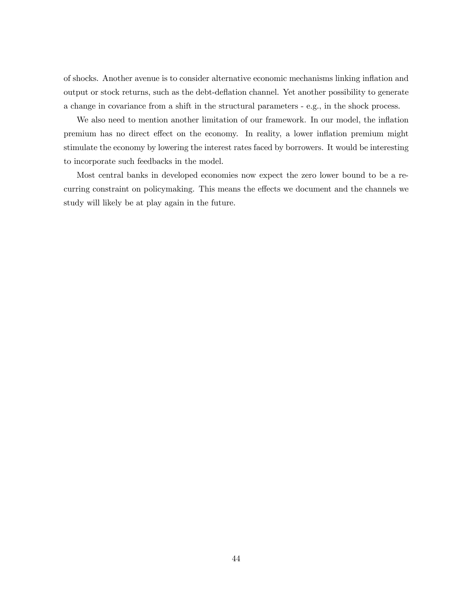of shocks. Another avenue is to consider alternative economic mechanisms linking inflation and output or stock returns, such as the debt-deflation channel. Yet another possibility to generate a change in covariance from a shift in the structural parameters - e.g., in the shock process.

We also need to mention another limitation of our framework. In our model, the inflation premium has no direct effect on the economy. In reality, a lower inflation premium might stimulate the economy by lowering the interest rates faced by borrowers. It would be interesting to incorporate such feedbacks in the model.

Most central banks in developed economies now expect the zero lower bound to be a recurring constraint on policymaking. This means the effects we document and the channels we study will likely be at play again in the future.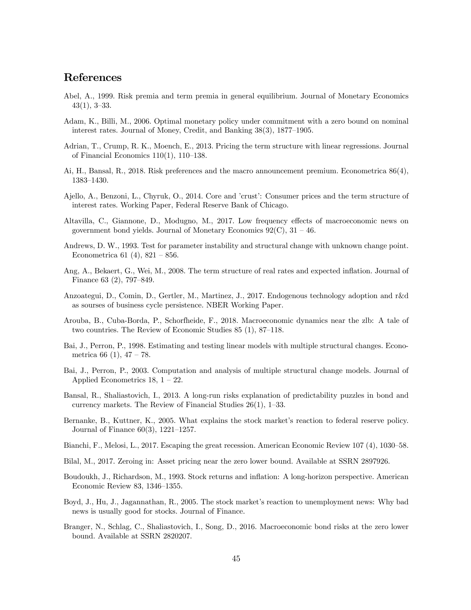## References

- Abel, A., 1999. Risk premia and term premia in general equilibrium. Journal of Monetary Economics 43(1), 3—33.
- Adam, K., Billi, M., 2006. Optimal monetary policy under commitment with a zero bound on nominal interest rates. Journal of Money, Credit, and Banking 38(3), 1877—1905.
- Adrian, T., Crump, R. K., Moench, E., 2013. Pricing the term structure with linear regressions. Journal of Financial Economics 110(1), 110—138.
- Ai, H., Bansal, R., 2018. Risk preferences and the macro announcement premium. Econometrica 86(4), 1383—1430.
- Ajello, A., Benzoni, L., Chyruk, O., 2014. Core and 'crust': Consumer prices and the term structure of interest rates. Working Paper, Federal Reserve Bank of Chicago.
- Altavilla, C., Giannone, D., Modugno, M., 2017. Low frequency effects of macroeconomic news on government bond yields. Journal of Monetary Economics  $92(\text{C})$ ,  $31 - 46$ .
- Andrews, D. W., 1993. Test for parameter instability and structural change with unknown change point. Econometrica 61 (4),  $821 - 856$ .
- Ang, A., Bekaert, G., Wei, M., 2008. The term structure of real rates and expected inflation. Journal of Finance 63 (2), 797—849.
- Anzoategui, D., Comin, D., Gertler, M., Martinez, J., 2017. Endogenous technology adoption and r&d as sourses of business cycle persistence. NBER Working Paper.
- Arouba, B., Cuba-Borda, P., Schorfheide, F., 2018. Macroeconomic dynamics near the zlb: A tale of two countries. The Review of Economic Studies 85 (1), 87—118.
- Bai, J., Perron, P., 1998. Estimating and testing linear models with multiple structural changes. Econometrica 66 (1),  $47 - 78$ .
- Bai, J., Perron, P., 2003. Computation and analysis of multiple structural change models. Journal of Applied Econometrics  $18$ ,  $1 - 22$ .
- Bansal, R., Shaliastovich, I., 2013. A long-run risks explanation of predictability puzzles in bond and currency markets. The Review of Financial Studies 26(1), 1—33.
- Bernanke, B., Kuttner, K., 2005. What explains the stock market's reaction to federal reserve policy. Journal of Finance 60(3), 1221—1257.
- Bianchi, F., Melosi, L., 2017. Escaping the great recession. American Economic Review 107 (4), 1030—58.
- Bilal, M., 2017. Zeroing in: Asset pricing near the zero lower bound. Available at SSRN 2897926.
- Boudoukh, J., Richardson, M., 1993. Stock returns and inflation: A long-horizon perspective. American Economic Review 83, 1346—1355.
- Boyd, J., Hu, J., Jagannathan, R., 2005. The stock market's reaction to unemployment news: Why bad news is usually good for stocks. Journal of Finance.
- Branger, N., Schlag, C., Shaliastovich, I., Song, D., 2016. Macroeconomic bond risks at the zero lower bound. Available at SSRN 2820207.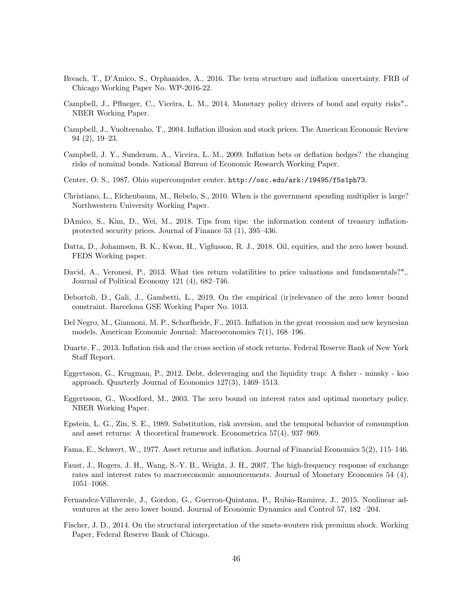- Breach, T., D'Amico, S., Orphanides, A., 2016. The term structure and inflation uncertainty. FRB of Chicago Working Paper No. WP-2016-22.
- Campbell, J., Pflueger, C., Viceira, L. M., 2014. Monetary policy drivers of bond and equity risks",. NBER Working Paper.
- Campbell, J., Vuolteenaho, T., 2004. Inflation illusion and stock prices. The American Economic Review 94 (2), 19—23.
- Campbell, J. Y., Sunderam, A., Viceira, L. M., 2009. Inflation bets or deflation hedges? the changing risks of nominal bonds. National Bureau of Economic Research Working Paper.
- Center, O. S., 1987. Ohio supercomputer center. http://osc.edu/ark:/19495/f5s1ph73.
- Christiano, L., Eichenbaum, M., Rebelo, S., 2010. When is the government spending multiplier is large? Northwestern University Working Paper.
- DAmico, S., Kim, D., Wei, M., 2018. Tips from tips: the information content of treasury inflationprotected security prices. Journal of Finance 53 (1), 395—436.
- Datta, D., Johannsen, B. K., Kwon, H., Vigfusson, R. J., 2018. Oil, equities, and the zero lower bound. FEDS Working paper.
- David, A., Veronesi, P., 2013. What ties return volatilities to price valuations and fundamentals?",. Journal of Political Economy 121 (4), 682—746.
- Debortoli, D., Gali, J., Gambetti, L., 2019. On the empirical (ir)relevance of the zero lower bound constraint. Barcelona GSE Working Paper No. 1013.
- Del Negro, M., Giannoni, M. P., Schorfheide, F., 2015. Inflation in the great recession and new keynesian models. American Economic Journal: Macroeconomics 7(1), 168—196.
- Duarte, F., 2013. Inflation risk and the cross section of stock returns. Federal Reserve Bank of New York Staff Report.
- Eggertsson, G., Krugman, P., 2012. Debt, deleveraging and the liquidity trap: A fisher minsky koo approach. Quarterly Journal of Economics 127(3), 1469—1513.
- Eggertsson, G., Woodford, M., 2003. The zero bound on interest rates and optimal monetary policy. NBER Working Paper.
- Epstein, L. G., Zin, S. E., 1989. Substitution, risk aversion, and the temporal behavior of consumption and asset returns: A theoretical framework. Econometrica 57(4), 937—969.
- Fama, E., Schwert, W., 1977. Asset returns and inflation. Journal of Financial Economics 5(2), 115—146.
- Faust, J., Rogers, J. H., Wang, S.-Y. B., Wright, J. H., 2007. The high-frequency response of exchange rates and interest rates to macroeconomic announcements. Journal of Monetary Economics 54 (4), 1051—1068.
- Fernandez-Villaverde, J., Gordon, G., Guerron-Quintana, P., Rubio-Ramirez, J., 2015. Nonlinear adventures at the zero lower bound. Journal of Economic Dynamics and Control 57, 182 —204.
- Fischer, J. D., 2014. On the structural interpretation of the smets-wouters risk premium shock. Working Paper, Federal Reserve Bank of Chicago.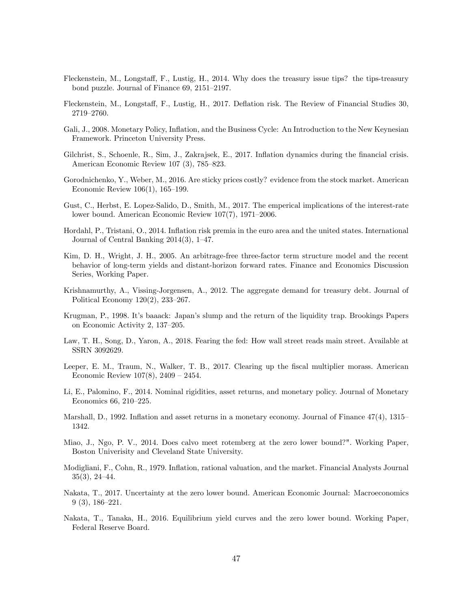- Fleckenstein, M., Longstaff, F., Lustig, H., 2014. Why does the treasury issue tips? the tips-treasury bond puzzle. Journal of Finance 69, 2151—2197.
- Fleckenstein, M., Longstaff, F., Lustig, H., 2017. Deflation risk. The Review of Financial Studies 30, 2719—2760.
- Gali, J., 2008. Monetary Policy, Inflation, and the Business Cycle: An Introduction to the New Keynesian Framework. Princeton University Press.
- Gilchrist, S., Schoenle, R., Sim, J., Zakrajsek, E., 2017. Inflation dynamics during the financial crisis. American Economic Review 107 (3), 785—823.
- Gorodnichenko, Y., Weber, M., 2016. Are sticky prices costly? evidence from the stock market. American Economic Review 106(1), 165—199.
- Gust, C., Herbst, E. Lopez-Salido, D., Smith, M., 2017. The emperical implications of the interest-rate lower bound. American Economic Review 107(7), 1971—2006.
- Hordahl, P., Tristani, O., 2014. Inflation risk premia in the euro area and the united states. International Journal of Central Banking 2014(3), 1—47.
- Kim, D. H., Wright, J. H., 2005. An arbitrage-free three-factor term structure model and the recent behavior of long-term yields and distant-horizon forward rates. Finance and Economics Discussion Series, Working Paper.
- Krishnamurthy, A., Vissing-Jorgensen, A., 2012. The aggregate demand for treasury debt. Journal of Political Economy 120(2), 233—267.
- Krugman, P., 1998. It's baaack: Japan's slump and the return of the liquidity trap. Brookings Papers on Economic Activity 2, 137—205.
- Law, T. H., Song, D., Yaron, A., 2018. Fearing the fed: How wall street reads main street. Available at SSRN 3092629.
- Leeper, E. M., Traum, N., Walker, T. B., 2017. Clearing up the fiscal multiplier morass. American Economic Review 107(8), 2409 — 2454.
- Li, E., Palomino, F., 2014. Nominal rigidities, asset returns, and monetary policy. Journal of Monetary Economics 66, 210—225.
- Marshall, D., 1992. Inflation and asset returns in a monetary economy. Journal of Finance 47(4), 1315— 1342.
- Miao, J., Ngo, P. V., 2014. Does calvo meet rotemberg at the zero lower bound?". Working Paper, Boston Univerisity and Cleveland State University.
- Modigliani, F., Cohn, R., 1979. Inflation, rational valuation, and the market. Financial Analysts Journal 35(3), 24—44.
- Nakata, T., 2017. Uncertainty at the zero lower bound. American Economic Journal: Macroeconomics 9 (3), 186—221.
- Nakata, T., Tanaka, H., 2016. Equilibrium yield curves and the zero lower bound. Working Paper, Federal Reserve Board.